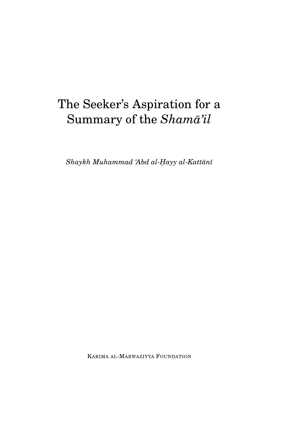# The Seeker's Aspiration for a Summary of the  $Sham\bar{a}'il$

 $Shaykh$  Muhammad 'Abd al-Hayy al-Kattānī

KARIMA AL-MARWAZIYYA FOUNDATION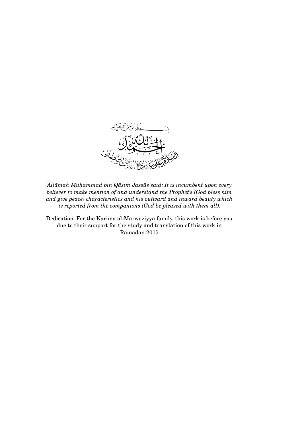

*'Allāmah Muhammad bin Qāsim Jassūs said: It is incumbent upon every believer to make mention of and understand the Prophet's (God bless him and give peace) characteristics and his outward and inward beauty which is reported from the companions (God be pleased with them all).*

Dedication: For the Karima al-Marwaziyya family, this work is before you due to their support for the study and translation of this work in Ramadan 2015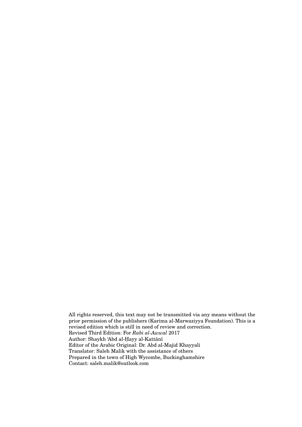All rights reserved, this text may not be transmitted via any means without the prior permission of the publishers (Karima al-Marwaziyya Foundation). This is a revised edition which is still in need of review and correction. Revised Third Edition: For *Rabi al-Awwal* 2017 Author: Shaykh 'Abd al-Hayy al-Kattānī Editor of the Arabic Original: Dr. Abd al-Majid Khayyali Translator: Saleh Malik with the assistance of others Prepared in the town of High Wycombe, Buckinghamshire Contact: saleh.malik@outlook.com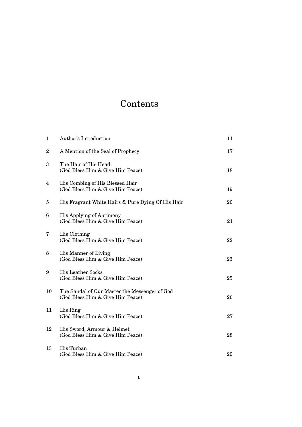## Contents

| $\mathbf{1}$ | Author's Introduction                                                             | 11 |
|--------------|-----------------------------------------------------------------------------------|----|
| 2            | A Mention of the Seal of Prophecy                                                 | 17 |
| 3            | The Hair of His Head<br>(God Bless Him & Give Him Peace)                          | 18 |
| 4            | His Combing of His Blessed Hair<br>(God Bless Him & Give Him Peace)               | 19 |
| 5            | His Fragrant White Hairs & Pure Dying Of His Hair                                 | 20 |
| 6            | His Applying of Antimony<br>(God Bless Him & Give Him Peace)                      | 21 |
| 7            | His Clothing<br>(God Bless Him & Give Him Peace)                                  | 22 |
| 8            | His Manner of Living<br>(God Bless Him & Give Him Peace)                          | 23 |
| 9            | <b>His Leather Socks</b><br>(God Bless Him & Give Him Peace)                      | 25 |
| 10           | The Sandal of Our Master the Messenger of God<br>(God Bless Him & Give Him Peace) | 26 |
| 11           | His Ring<br>(God Bless Him & Give Him Peace)                                      | 27 |
| 12           | His Sword, Armour & Helmet<br>(God Bless Him & Give Him Peace)                    | 28 |
| 13           | His Turban<br>(God Bless Him & Give Him Peace)                                    | 29 |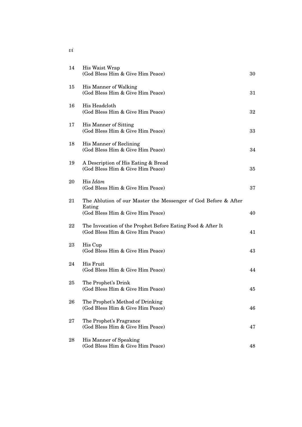| 14 | His Waist Wrap<br>(God Bless Him & Give Him Peace)                                                           | 30 |
|----|--------------------------------------------------------------------------------------------------------------|----|
| 15 | His Manner of Walking<br>(God Bless Him & Give Him Peace)                                                    | 31 |
| 16 | His Headcloth<br>(God Bless Him & Give Him Peace)                                                            | 32 |
| 17 | His Manner of Sitting<br>(God Bless Him & Give Him Peace)                                                    | 33 |
| 18 | His Manner of Reclining<br>(God Bless Him & Give Him Peace)                                                  | 34 |
| 19 | A Description of His Eating & Bread<br>(God Bless Him & Give Him Peace)                                      | 35 |
| 20 | His $Id\bar{a}m$<br>(God Bless Him & Give Him Peace)                                                         | 37 |
| 21 | The Ablution of our Master the Messenger of God Before & After<br>Eating<br>(God Bless Him & Give Him Peace) | 40 |
| 22 | The Invocation of the Prophet Before Eating Food & After It<br>(God Bless Him & Give Him Peace)              | 41 |
| 23 | His Cup<br>(God Bless Him & Give Him Peace)                                                                  | 43 |
| 24 | His Fruit<br>(God Bless Him & Give Him Peace)                                                                | 44 |
| 25 | The Prophet's Drink<br>(God Bless Him & Give Him Peace)                                                      | 45 |
| 26 | The Prophet's Method of Drinking<br>(God Bless Him & Give Him Peace)                                         | 46 |
| 27 | The Prophet's Fragrance<br>(God Bless Him & Give Him Peace)                                                  | 47 |
| 28 | His Manner of Speaking<br>(God Bless Him & Give Him Peace)                                                   | 48 |

*vi*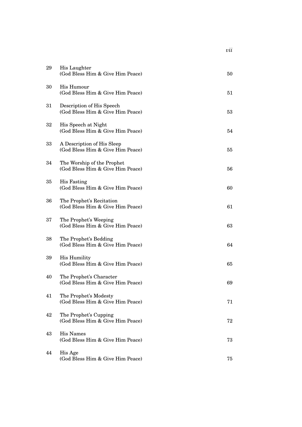| 29 | His Laughter<br>(God Bless Him & Give Him Peace)               | 50 |
|----|----------------------------------------------------------------|----|
| 30 | His Humour<br>(God Bless Him & Give Him Peace)                 | 51 |
| 31 | Description of His Speech<br>(God Bless Him & Give Him Peace)  | 53 |
| 32 | His Speech at Night<br>(God Bless Him & Give Him Peace)        | 54 |
| 33 | A Description of His Sleep<br>(God Bless Him & Give Him Peace) | 55 |
| 34 | The Worship of the Prophet<br>(God Bless Him & Give Him Peace) | 56 |
| 35 | His Fasting<br>(God Bless Him & Give Him Peace)                | 60 |
| 36 | The Prophet's Recitation<br>(God Bless Him & Give Him Peace)   | 61 |
| 37 | The Prophet's Weeping<br>(God Bless Him & Give Him Peace)      | 63 |
| 38 | The Prophet's Bedding<br>(God Bless Him & Give Him Peace)      | 64 |
| 39 | <b>His Humility</b><br>(God Bless Him & Give Him Peace)        | 65 |
| 40 | The Prophet's Character<br>(God Bless Him & Give Him Peace)    | 69 |
| 41 | The Prophet's Modesty<br>(God Bless Him & Give Him Peace)      | 71 |
| 42 | The Prophet's Cupping<br>(God Bless Him & Give Him Peace)      | 72 |
| 43 | <b>His Names</b><br>(God Bless Him & Give Him Peace)           | 73 |
| 44 | His Age<br>(God Bless Him & Give Him Peace)                    | 75 |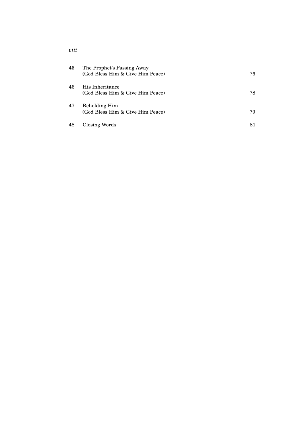| 45 | The Prophet's Passing Away<br>(God Bless Him & Give Him Peace) | 76 |
|----|----------------------------------------------------------------|----|
| 46 | His Inheritance<br>(God Bless Him & Give Him Peace)            | 78 |
| 47 | <b>Beholding Him</b><br>(God Bless Him & Give Him Peace)       | 79 |
| 48 | Closing Words                                                  | 81 |

*viii*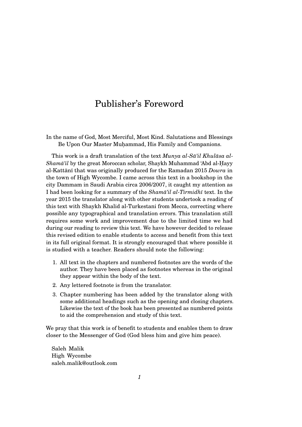### Publisher's Foreword

In the name of God, Most Merciful, Most Kind. Salutations and Blessings Be Upon Our Master Muhammad, His Family and Companions.

This work is a draft translation of the text *Munya al-Sā'il Khulāsa al-Shamā'il* by the great Moroccan scholar, Shaykh Muhammad 'Abd al-Hayy al-Kattānī that was originally produced for the Ramadan 2015 *Dowra* in the town of High Wycombe. I came across this text in a bookshop in the city Dammam in Saudi Arabia circa 2006/2007, it caught my attention as I had been looking for a summary of the *Shama'il al-Tirmidh*<sup> $\bar{t}$ </sup> text. In the year 2015 the translator along with other students undertook a reading of this text with Shaykh Khalid al-Turkestani from Mecca, correcting where possible any typographical and translation errors. This translation still requires some work and improvement due to the limited time we had during our reading to review this text. We have however decided to release this revised edition to enable students to access and benefit from this text in its full original format. It is strongly encouraged that where possible it is studied with a teacher. Readers should note the following:

- 1. All text in the chapters and numbered footnotes are the words of the author. They have been placed as footnotes whereas in the original they appear within the body of the text.
- 2. Any lettered footnote is from the translator.
- 3. Chapter numbering has been added by the translator along with some additional headings such as the opening and closing chapters. Likewise the text of the book has been presented as numbered points to aid the comprehension and study of this text.

We pray that this work is of benefit to students and enables them to draw closer to the Messenger of God (God bless him and give him peace).

Saleh Malik High Wycombe saleh.malik@outlook.com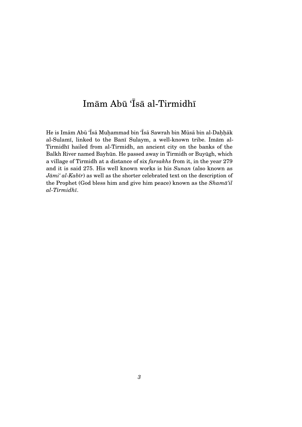## Imām Abū 'Īsā al-Tirmidhī

He is Imām Abū 'Īsā Muḥammad bin 'Īsā Sawrah bin Mūsā bin al-Daḥḥāk al-Sulamī, linked to the Banī Sulaym, a well-known tribe. Imām al-Tirmidhī hailed from al-Tirmidh, an ancient city on the banks of the Balkh River named Bayhūn. He passed away in Tirmidh or Buyūgh, which a village of Tirmidh at a distance of six *farsakhs* from it, in the year 279 and it is said 275. His well known works is his *Sunan* (also known as *Jāmi' al-Kabīr*) as well as the shorter celebrated text on the description of the Prophet (God bless him and give him peace) known as the *Shama'il al-Tirmidh¯ı*.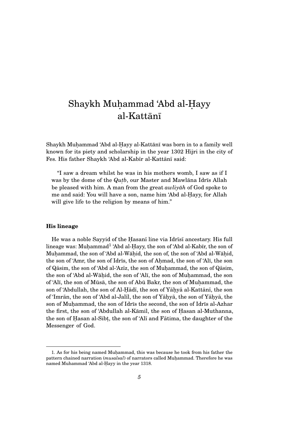### Shaykh Muhammad 'Abd al-Hayy al-Kattānī

Shaykh Muhammad 'Abd al-Hayy al-Kattānī was born in to a family well known for its piety and scholarship in the year 1302 Hijri in the city of Fes. His father Shaykh 'Abd al-Kabīr al-Kattānī said:

"I saw a dream whilst he was in his mothers womb, I saw as if I was by the dome of the *Qutb*, our Master and Mawlana Idris Allah be pleased with him. A man from the great *awlivah* of God spoke to me and said: You will have a son, name him 'Abd al-Hayy, for Allah will give life to the religion by means of him."

#### **His lineage**

He was a noble Sayyid of the Hasanī line via Idrīsī ancestary. His full lineage was:  $\text{Mu} \text{hammad}^1$  'Abd al-Hayy, the son of 'Abd al-Kabīr, the son of Muḥammad, the son of 'Abd al-Wāḥid, the son of, the son of 'Abd al-Wāḥid, the son of 'Amr, the son of Idrīs, the son of Ahmad, the son of 'Alī, the son of Qāsim, the son of 'Abd al-'Azīz, the son of Muhammad, the son of Qāsim, the son of 'Abd al-Wāḥid, the son of 'Alī, the son of Muḥammad, the son of 'Alī, the son of Mūsā, the son of Abū Bakr, the son of Muhammad, the son of 'Abdullah, the son of Al-Hadī, the son of Yahya al-Kattani, the son of 'Imrān, the son of 'Abd al-Jalīl, the son of Yāhyā, the son of Yāhyā, the son of Muhammad, the son of Idrīs the second, the son of Idrīs al-Azhar the first, the son of 'Abdullah al-Kāmil, the son of Hasan al-Muthanna, the son of Hasan al-Sibt, the son of 'Alī and Fātima, the daughter of the  $\,$ Messenger of God.

<sup>1.</sup> As for his being named Muhammad, this was because he took from his father the pattern chained narration (*musalsal*) of narrators called Muhammad. Therefore he was named Muhammad 'Abd al-Hayy in the year 1318.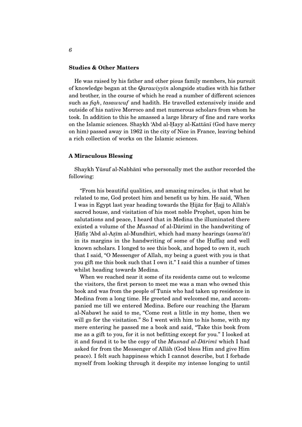#### **Studies & Other Matters**

He was raised by his father and other pious family members, his pursuit of knowledge began at the *Qarawiyy* $\bar{u}$  alongside studies with his father and brother, in the course of which he read a number of different sciences such as *fiqh*, *tasawwuf* and hadith. He travelled extensively inside and outside of his native Morroco and met numerous scholars from whom he took. In addition to this he amassed a large library of fine and rare works on the Islamic sciences. Shaykh 'Abd al-Hayy al-Kattānī (God have mercy on him) passed away in 1962 in the city of Nice in France, leaving behind a rich collection of works on the Islamic sciences.

#### **A Miraculous Blessing**

Shaykh Yūsuf al-Nabhānī who personally met the author recorded the following:

"From his beautiful qualities, and amazing miracles, is that what he related to me, God protect him and benefit us by him. He said, 'When I was in Egypt last year heading towards the Hijāz for Hajj to Allāh's sacred house, and visitation of his most noble Prophet, upon him be salutations and peace, I heard that in Medina the illuminated there existed a volume of the *Musnad* of al-Dārimī in the handwriting of Hāfiẓ 'Abd al-Aẓīm al-Mundhirī, which had many hearings (*sama'āt*) in its margins in the handwriting of some of the Huffaz and well known scholars. I longed to see this book, and hoped to own it, such that I said, "O Messenger of Allah, my being a guest with you is that you gift me this book such that I own it." I said this a number of times whilst heading towards Medina.

When we reached near it some of its residents came out to welcome the visitors, the first person to meet me was a man who owned this book and was from the people of Tunis who had taken up residence in Medina from a long time. He greeted and welcomed me, and accompanied me till we entered Medina. Before our reaching the Haram al-Nabawī he said to me, "Come rest a little in my home, then we will go for the visitation." So I went with him to his home, with my mere entering he passed me a book and said, "Take this book from me as a gift to you, for it is not befitting except for you." I looked at it and found it to be the copy of the *Musnad al-Dārimī* which I had asked for from the Messenger of Allah (God bless Him and give Him peace). I felt such happiness which I cannot describe, but I forbade myself from looking through it despite my intense longing to until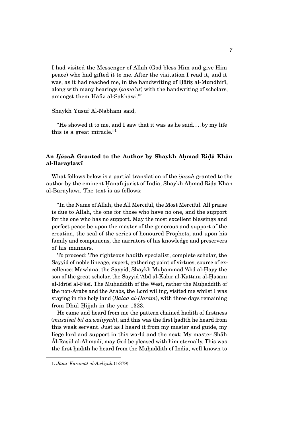I had visited the Messenger of Allah (God bless Him and give Him ¯ peace) who had gifted it to me. After the visitation I read it, and it was, as it had reached me, in the handwriting of Hafiz al-Mundhiri, along with many hearings  $(sama' \bar{a}t)$  with the handwriting of scholars, amongst them Hāfiz al-Sakhāwī."

#### Shaykh Yūsuf Al-Nabhānī said,

"He showed it to me, and I saw that it was as he said. . . .by my life this is a great miracle."<sup>1</sup>

#### $\bf{A}$ n *Ijāzah* Granted to the Author by Shaykh Aḥmad Riḍā Khān **al-Baraylawı¯**

What follows below is a partial translation of the *ijāzah* granted to the author by the eminent Hanafī jurist of India, Shaykh Ahmad Ridā Khān al-Baraylawī. The text is as follows:

"In the Name of Allah, the All Merciful, the Most Merciful. All praise is due to Allah, the one for those who have no one, and the support for the one who has no support. May the most excellent blessings and perfect peace be upon the master of the generous and support of the creation, the seal of the series of honoured Prophets, and upon his family and companions, the narrators of his knowledge and preservers of his manners.

To proceed: The righteous hadith specialist, complete scholar, the Sayyid of noble lineage, expert, gathering point of virtues, source of excellence: Mawlānā, the Sayyid, Shaykh Muhammad 'Abd al-Hayy the son of the great scholar, the Sayyid 'Abd al-Kabīr al-Kattānī al-Hasanī al-Idrīsī al-Fāsī. The Muhaddith of the West, rather the Muhaddith of the non-Arabs and the Arabs, the Lord willing, visited me whilst I was staying in the holy land (*Balad al-Harām*), with three days remaining from Dhūl Ḥijjah in the year 1323.

He came and heard from me the pattern chained hadith of firstness (*musalsal bil awwaliyyah*), and this was the first had<sup>th</sup> he heard from this weak servant. Just as I heard it from my master and guide, my liege lord and support in this world and the next: My master Shah  $\bar{A}$ l-Rasūl al-Ahmadī, may God be pleased with him eternally. This was the first hadīth he heard from the Muhaddith of India, well known to

<sup>1.</sup> *J ¯ami' Karam ¯at al-Awliyah* (1/379)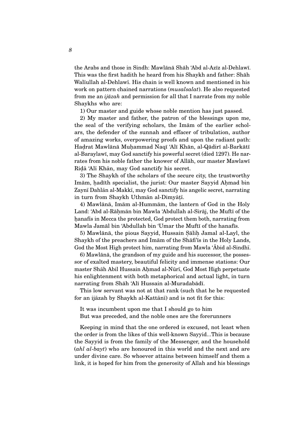the Arabs and those in Sindh: Mawlānā Shāh 'Abd al-Azīz al-Dehlawī. This was the first hadith he heard from his Shaykh and father: Shah Walīullah al-Dehlawī. His chain is well known and mentioned in his work on pattern chained narrations (*musalsalat*). He also requested from me an *ijāzah* and permission for all that I narrate from my noble Shaykhs who are:

1) Our master and guide whose noble mention has just passed.

2) My master and father, the patron of the blessings upon me, the seal of the verifying scholars, the Imam of the earlier scholars, the defender of the sunnah and effacer of tribulation, author of amazing works, overpowering proofs and upon the radiant path: Haḍrat Mawlānā Muḥammad Naqī 'Alī Khān, al-Qādirī al-Barkātī al-Baraylawī, may God sanctify his powerful secret (died 1297). He narrates from his noble father the knower of Allah, our master Mawlawi Ridā 'Alī Khān, may God sanctify his secret.

3) The Shaykh of the scholars of the secure city, the trustworthy Imām, hadīth specialist, the jurist: Our master Sayyid Ahmad bin Zaynī Dahlān al-Makkī, may God sanctify his angelic secret, narrating in turn from Shaykh Uthmān al-Dimyāṭī.

4) Mawlānā, Imām al-Hummām, the lantern of God in the Holy Land: 'Abd al-Rāhmān bin Mawla 'Abdullah al-Sirāj, the Muftī of the hanafis in Mecca the protected, God protect them both, narrating from Mawla Jamāl bin 'Abdullah bin 'Umar the Muftī of the hanafīs.

5) Mawlānā, the pious Sayyid, Hussain Sālih Jamal al-Layl, the Shaykh of the preachers and Imam of the Shafi' as in the Holy Lands, God the Most High protect him, narrating from Mawla 'Abid al-Sindh.

6) Mawlānā, the grandson of my guide and his successor, the possessor of exalted mastery, beautiful felicity and immense stations: Our master Shāh Abil Hussain Ahmad al-Nūrī, God Most High perpetuate his enlightenment with both metaphorical and actual light, in turn narrating from Shāh 'Alī Hussain al-Muradabādī.

This low servant was not at that rank (such that he be requested for an ijāzah by Shaykh al-Kattānī) and is not fit for this:

It was incumbent upon me that I should go to him But was preceded, and the noble ones are the forerunners

Keeping in mind that the one ordered is excused, not least when the order is from the likes of this well-known Sayyid...This is because the Sayyid is from the family of the Messenger, and the household (*ahl al-bayt*) who are honoured in this world and the next and are under divine care. So whoever attains between himself and them a link, it is hoped for him from the generosity of Allah and his blessings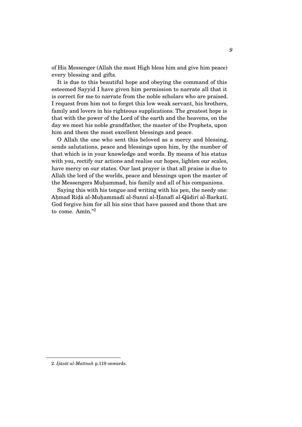of His Messenger (Allah the most High bless him and give him peace) every blessing and gifts.

It is due to this beautiful hope and obeying the command of this esteemed Sayyid I have given him permission to narrate all that it is correct for me to narrate from the noble scholars who are praised. I request from him not to forget this low weak servant, his brothers, family and lovers in his righteous supplications. The greatest hope is that with the power of the Lord of the earth and the heavens, on the day we meet his noble grandfather, the master of the Prophets, upon him and them the most excellent blessings and peace.

O Allah the one who sent this beloved as a mercy and blessing, sends salutations, peace and blessings upon him, by the number of that which is in your knowledge and words. By means of his status with you, rectify our actions and realise our hopes, lighten our scales, have mercy on our states. Our last prayer is that all praise is due to Allah the lord of the worlds, peace and blessings upon the master of the Messengers Muhammad, his family and all of his companions.

Saying this with his tongue and writing with his pen, the needy one: Ahmad Ridā al-Muhammadī al-Sunnī al-Hanafī al-Qādirī al-Barkatī. God forgive him for all his sins that have passed and those that are to come. Amīn." $2$ 

<sup>2.</sup> Ijāzāt al-Matīnah p.119 onwards.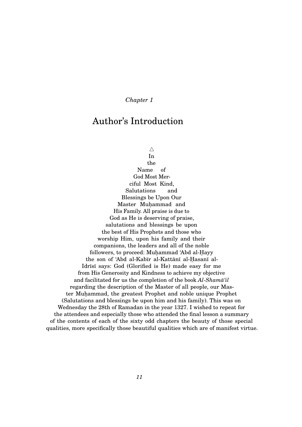### Author's Introduction

 $\triangle$ 

In the Name of God Most Merciful Most Kind, Salutations and Blessings be Upon Our Master Muhammad and His Family. All praise is due to God as He is deserving of praise, salutations and blessings be upon the best of His Prophets and those who worship Him, upon his family and their companions, the leaders and all of the noble followers, to proceed: Muhammad 'Abd al-Hayy the son of 'Abd al-Kabīr al-Kattānī al-Hasanī al-Idrīsī says: God (Glorified is He) made easy for me from His Generosity and Kindness to achieve my objective and facilitated for us the completion of the book *Al-Shamā'il* regarding the description of the Master of all people, our Master Muhammad, the greatest Prophet and noble unique Prophet (Salutations and blessings be upon him and his family). This was on Wednesday the 28th of Ramadan in the year 1327. I wished to repeat for the attendees and especially those who attended the final lesson a summary of the contents of each of the sixty odd chapters the beauty of those special qualities, more specifically those beautiful qualities which are of manifest virtue.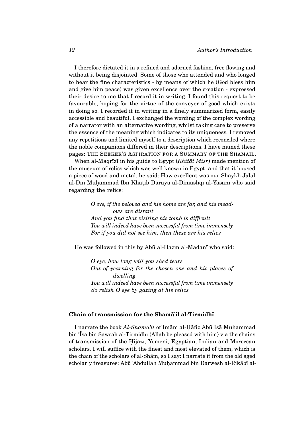I therefore dictated it in a refined and adorned fashion, free flowing and without it being disjointed. Some of those who attended and who longed to hear the fine characteristics - by means of which he (God bless him and give him peace) was given excellence over the creation - expressed their desire to me that I record it in writing. I found this request to be favourable, hoping for the virtue of the conveyer of good which exists in doing so. I recorded it in writing in a finely summarized form, easily accessible and beautiful. I exchanged the wording of the complex wording of a narrator with an alternative wording, whilst taking care to preserve the essence of the meaning which indicates to its uniqueness. I removed any repetitions and limited myself to a description which reconciled where the noble companions differed in their descriptions. I have named these pages: THE SEEKER'S ASPIRATION FOR A SUMMARY OF THE SHAMAIL.

When al-Maqrīzī in his guide to Egypt (*Khiṭāt Miṣr*) made mention of the museum of relics which was well known in Egypt, and that it housed a piece of wood and metal, he said: How excellent was our Shaykh Jalal al-Dīn Muḥammad Ibn Khaṭīb Darāyā al-Dimashqī al-Yasānī who said regarding the relics:

> *O eye, if the beloved and his home are far, and his meadows are distant And you find that visiting his tomb is difficult You will indeed have been successful from time immensely For if you did not see him, then these are his relics*

He was followed in this by Abū al-Hazm al-Madanī who said:

*O eye, how long will you shed tears Out of yearning for the chosen one and his places of dwelling You will indeed have been successful from time immensely So relish O eye by gazing at his relics*

#### **Chain of transmission for the Shama'il al-Tirmidh**

I narrate the book *Al-Shamā'il* of Imām al-Hāfiz Abū Isā Muhammad bin 'Isā bin Sawrah al-Tirmidhī (Allāh be pleased with him) via the chains of transmission of the Ḥijāzī, Yemeni, Egyptian, Indian and Moroccan scholars. I will suffice with the finest and most elevated of them, which is the chain of the scholars of al-Sham, so I say: I narrate it from the old aged scholarly treasures: Abū 'Abdullah Muhammad bin Darwesh al-Rikābī al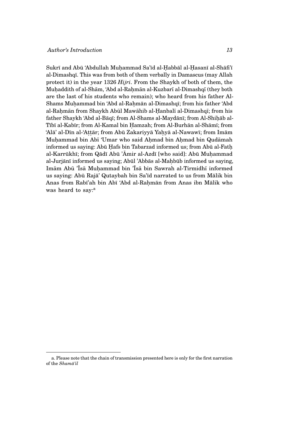Sukrī and Abū 'Abdullah Muhammad Sa'īd al-Habbāl al-Hasanī al-Shāfi'ī al-Dimashqī. This was from both of them verbally in Damascus (may Allah protect it) in the year 1326 *Hijri*. From the Shaykh of both of them, the Muhaddith of al-Shām, 'Abd al-Rahmān al-Kuzbarī al-Dimashqī (they both are the last of his students who remain); who heard from his father Al-Shams Muhammad bin 'Abd al-Rahmān al-Dimashqī; from his father 'Abd al-Rahmān from Shaykh Abūl Mawāhib al-Hanbalī al-Dimashqī; from his father Shaykh 'Abd al-Bāqī; from Al-Shams al-Maydānī; from Al-Shiḥāb al-Tībī al-Kabīr; from Al-Kamal bin Hamzah; from Al-Burhān al-Shāmī; from ʻAlā' al-Dīn al-ʻAṭṭār; from Abū Zakariyyā Yaḥyā al-Nawawī; from Imām Muhammad bin Abī 'Umar who said Ahmad bin Ahmad bin Qudāmah informed us saying: Abū Hafs bin Tabarzad informed us; from Abū al-Fath al-Karrūkhī; from Qādī Abū 'Āmir al-Azdī [who said]: Abū Muhammad al-Jurjānī informed us saying; Abūl 'Abbās al-Mahbūb informed us saying, Imām Abū 'Īsā Muḥammad bin 'Īsā bin Sawrah al-Tirmidhī informed us saying: Abū Rajā' Qutaybah bin Sa'īd narrated to us from Mālik bin Anas from Rabī'ah bin Abī 'Abd al-Rahmān from Anas ibn Mālik who was heard to say:<sup>a</sup>

a. Please note that the chain of transmission presented here is only for the first narration of the *Shama'il*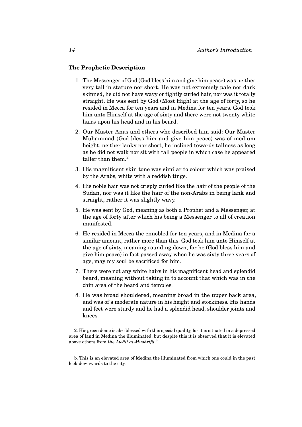#### **The Prophetic Description**

- 1. The Messenger of God (God bless him and give him peace) was neither very tall in stature nor short. He was not extremely pale nor dark skinned, he did not have wavy or tightly curled hair, nor was it totally straight. He was sent by God (Most High) at the age of forty, so he resided in Mecca for ten years and in Medina for ten years. God took him unto Himself at the age of sixty and there were not twenty white hairs upon his head and in his beard.
- 2. Our Master Anas and others who described him said: Our Master Muhammad (God bless him and give him peace) was of medium height, neither lanky nor short, he inclined towards tallness as long as he did not walk nor sit with tall people in which case he appeared taller than them.<sup>2</sup>
- 3. His magnificent skin tone was similar to colour which was praised by the Arabs, white with a reddish tinge.
- 4. His noble hair was not crisply curled like the hair of the people of the Sudan, nor was it like the hair of the non-Arabs in being lank and straight, rather it was slightly wavy.
- 5. He was sent by God, meaning as both a Prophet and a Messenger, at the age of forty after which his being a Messenger to all of creation manifested.
- 6. He resided in Mecca the ennobled for ten years, and in Medina for a similar amount, rather more than this. God took him unto Himself at the age of sixty, meaning rounding down, for he (God bless him and give him peace) in fact passed away when he was sixty three years of age, may my soul be sacrificed for him.
- 7. There were not any white hairs in his magnificent head and splendid beard, meaning without taking in to account that which was in the chin area of the beard and temples.
- 8. He was broad shouldered, meaning broad in the upper back area, and was of a moderate nature in his height and stockiness. His hands and feet were sturdy and he had a splendid head, shoulder joints and knees.

<sup>2.</sup> His green dome is also blessed with this special quality, for it is situated in a depressed area of land in Medina the illuminated, but despite this it is observed that it is elevated above others from the  $Aw\bar{a}l\bar{\iota} al$ -*Mushrifa*.<sup>b</sup>

b. This is an elevated area of Medina the illuminated from which one could in the past look downwards to the city.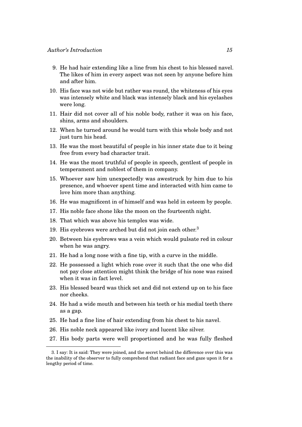- 9. He had hair extending like a line from his chest to his blessed navel. The likes of him in every aspect was not seen by anyone before him and after him.
- 10. His face was not wide but rather was round, the whiteness of his eyes was intensely white and black was intensely black and his eyelashes were long.
- 11. Hair did not cover all of his noble body, rather it was on his face, shins, arms and shoulders.
- 12. When he turned around he would turn with this whole body and not just turn his head.
- 13. He was the most beautiful of people in his inner state due to it being free from every bad character trait.
- 14. He was the most truthful of people in speech, gentlest of people in temperament and noblest of them in company.
- 15. Whoever saw him unexpectedly was awestruck by him due to his presence, and whoever spent time and interacted with him came to love him more than anything.
- 16. He was magnificent in of himself and was held in esteem by people.
- 17. His noble face shone like the moon on the fourteenth night.
- 18. That which was above his temples was wide.
- 19. His eyebrows were arched but did not join each other.<sup>3</sup>
- 20. Between his eyebrows was a vein which would pulsate red in colour when he was angry.
- 21. He had a long nose with a fine tip, with a curve in the middle.
- 22. He possessed a light which rose over it such that the one who did not pay close attention might think the bridge of his nose was raised when it was in fact level.
- 23. His blessed beard was thick set and did not extend up on to his face nor cheeks.
- 24. He had a wide mouth and between his teeth or his medial teeth there as a gap.
- 25. He had a fine line of hair extending from his chest to his navel.
- 26. His noble neck appeared like ivory and lucent like silver.
- 27. His body parts were well proportioned and he was fully fleshed

<sup>3.</sup> I say: It is said: They were joined, and the secret behind the difference over this was the inability of the observer to fully comprehend that radiant face and gaze upon it for a lengthy period of time.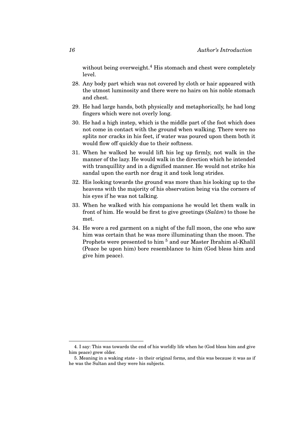without being overweight.<sup>4</sup> His stomach and chest were completely level.

- 28. Any body part which was not covered by cloth or hair appeared with the utmost luminosity and there were no hairs on his noble stomach and chest.
- 29. He had large hands, both physically and metaphorically, he had long fingers which were not overly long.
- 30. He had a high instep, which is the middle part of the foot which does not come in contact with the ground when walking. There were no splits nor cracks in his feet, if water was poured upon them both it would flow off quickly due to their softness.
- 31. When he walked he would lift his leg up firmly, not walk in the manner of the lazy. He would walk in the direction which he intended with tranquillity and in a dignified manner. He would not strike his sandal upon the earth nor drag it and took long strides.
- 32. His looking towards the ground was more than his looking up to the heavens with the majority of his observation being via the corners of his eyes if he was not talking.
- 33. When he walked with his companions he would let them walk in front of him. He would be first to give greetings  $(Sal\bar{a}m)$  to those he met.
- 34. He wore a red garment on a night of the full moon, the one who saw him was certain that he was more illuminating than the moon. The Prophets were presented to him<sup>5</sup> and our Master Ibrahim al-Khalīl (Peace be upon him) bore resemblance to him (God bless him and give him peace).

<sup>4.</sup> I say: This was towards the end of his worldly life when he (God bless him and give him peace) grew older.

<sup>5.</sup> Meaning in a waking state - in their original forms, and this was because it was as if he was the Sultan and they were his subjects.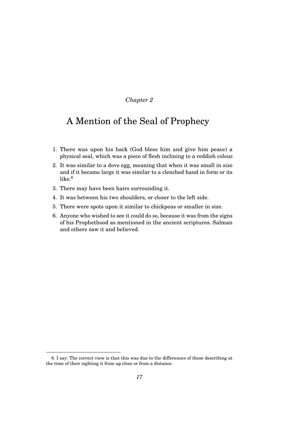### A Mention of the Seal of Prophecy

- 1. There was upon his back (God bless him and give him peace) a physical seal, which was a piece of flesh inclining to a reddish colour.
- 2. It was similar to a dove egg, meaning that when it was small in size and if it became large it was similar to a clenched hand in form or its like.<sup>6</sup>
- 3. There may have been hairs surrounding it.
- 4. It was between his two shoulders, or closer to the left side.
- 5. There were spots upon it similar to chickpeas or smaller in size.
- 6. Anyone who wished to see it could do so, because it was from the signs of his Prophethood as mentioned in the ancient scriptures. Salman and others saw it and believed.

<sup>6.</sup> I say: The correct view is that this was due to the differences of those describing at the time of their sighting it from up close or from a distance.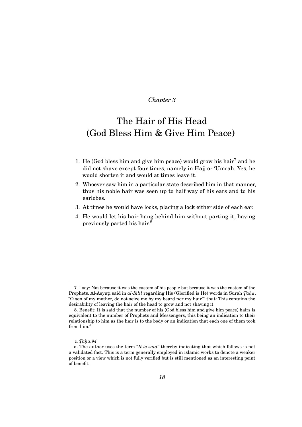## The Hair of His Head (God Bless Him & Give Him Peace)

- 1. He (God bless him and give him peace) would grow his hair<sup>7</sup> and he did not shave except four times, namely in Hajj or 'Umrah. Yes, he would shorten it and would at times leave it.
- 2. Whoever saw him in a particular state described him in that manner, thus his noble hair was seen up to half way of his ears and to his earlobes.
- 3. At times he would have locks, placing a lock either side of each ear.
- 4. He would let his hair hang behind him without parting it, having previously parted his hair.<sup>8</sup>

<sup>7.</sup> I say: Not because it was the custom of his people but because it was the custom of the Prophets. Al-Asyūṭī said in *al-Iklīl regarding His (Glorified is He) words in Surah*  $\bar{Ta}\hbar\bar{a}$ *,* "O son of my mother, do not seize me by my beard nor my hair"<sup>c</sup> that: This contains the desirability of leaving the hair of the head to grow and not shaving it.

<sup>8.</sup> Benefit: It is said that the number of his (God bless him and give him peace) hairs is equivalent to the number of Prophets and Messengers, this being an indication to their relationship to him as the hair is to the body or an indication that each one of them took from him.<sup>d</sup>

c. *T. ¯ah. ¯a:94*

d. The author uses the term "*It is said*" thereby indicating that which follows is not a validated fact. This is a term generally employed in islamic works to denote a weaker position or a view which is not fully verified but is still mentioned as an interesting point of benefit.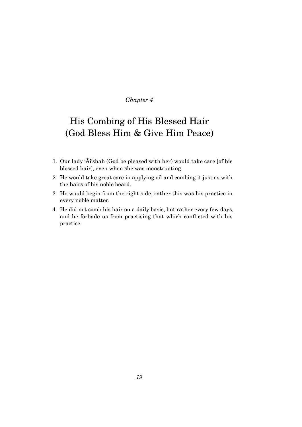## His Combing of His Blessed Hair (God Bless Him & Give Him Peace)

- 1. Our lady 'Ai'shah (God be pleased with her) would take care [of his ¯ blessed hair], even when she was menstruating.
- 2. He would take great care in applying oil and combing it just as with the hairs of his noble beard.
- 3. He would begin from the right side, rather this was his practice in every noble matter.
- 4. He did not comb his hair on a daily basis, but rather every few days, and he forbade us from practising that which conflicted with his practice.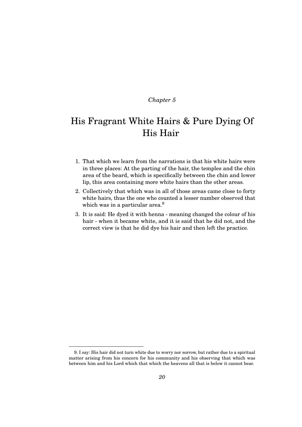## His Fragrant White Hairs & Pure Dying Of His Hair

- 1. That which we learn from the narrations is that his white hairs were in three places: At the parting of the hair, the temples and the chin area of the beard, which is specifically between the chin and lower lip, this area containing more white hairs than the other areas.
- 2. Collectively that which was in all of those areas came close to forty white hairs, thus the one who counted a lesser number observed that which was in a particular area.<sup>9</sup>
- 3. It is said: He dyed it with henna meaning changed the colour of his hair - when it became white, and it is said that he did not, and the correct view is that he did dye his hair and then left the practice.

<sup>9.</sup> I say: His hair did not turn white due to worry nor sorrow, but rather due to a spiritual matter arising from his concern for his community and his observing that which was between him and his Lord which that which the heavens all that is below it cannot bear.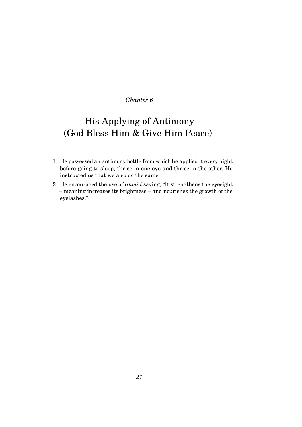## His Applying of Antimony (God Bless Him & Give Him Peace)

- 1. He possessed an antimony bottle from which he applied it every night before going to sleep, thrice in one eye and thrice in the other. He instructed us that we also do the same.
- 2. He encouraged the use of *Ithmid* saying, "It strengthens the eyesight – meaning increases its brightness – and nourishes the growth of the eyelashes."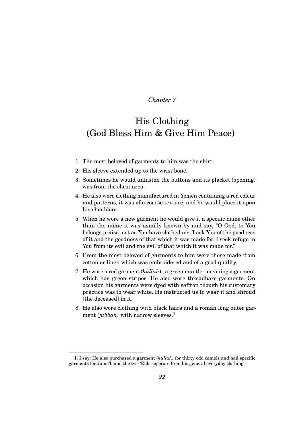### His Clothing (God Bless Him & Give Him Peace)

- 1. The most beloved of garments to him was the shirt.
- 2. His sleeve extended up to the wrist bone.
- 3. Sometimes he would unfasten the buttons and its placket (opening) was from the chest area.
- 4. He also wore clothing manufactured in Yemen containing a red colour and patterns, it was of a coarse texture, and he would place it upon his shoulders.
- 5. When he wore a new garment he would give it a specific name other than the name it was usually known by and say, "O God, to You belongs praise just as You have clothed me, I ask You of the goodness of it and the goodness of that which it was made for. I seek refuge in You from its evil and the evil of that which it was made for."
- 6. From the most beloved of garments to him were those made from cotton or linen which was embroidered and of a good quality.
- 7. He wore a red garment (*h. ullah*) , a green mantle meaning a garment which has green stripes. He also wore threadbare garments. On occasion his garments were dyed with saffron though his customary practice was to wear white. He instructed us to wear it and shroud [the deceased] in it.
- 8. He also wore clothing with black hairs and a roman long outer garment *(jubbah)* with narrow sleeves.<sup>1</sup>

<sup>1.</sup> I say: He also purchased a garment *(h. ullah)* for thirty odd camels and had specific garments for Juma'h and the two 'Eīds seperate from his general everyday clothing.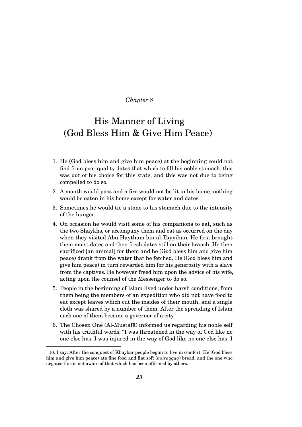### His Manner of Living (God Bless Him & Give Him Peace)

- 1. He (God bless him and give him peace) at the beginning could not find from poor quality dates that which to fill his noble stomach, this was out of his choice for this state, and this was not due to being compelled to do so.
- 2. A month would pass and a fire would not be lit in his home, nothing would be eaten in his home except for water and dates.
- 3. Sometimes he would tie a stone to his stomach due to the intensity of the hunger.
- 4. On occasion he would visit some of his companions to eat, such as the two Shaykhs, or accompany them and eat as occurred on the day when they visited Abū Haytham bin al-Tayyihān. He first brought them moist dates and then fresh dates still on their branch. He then sacrificed [an animal] for them and he (God bless him and give him peace) drank from the water that he fetched. He (God bless him and give him peace) in turn rewarded him for his generosity with a slave from the captives. He however freed him upon the advice of his wife, acting upon the counsel of the Messenger to do so.
- 5. People in the beginning of Islam lived under harsh conditions, from them being the members of an expedition who did not have food to eat except leaves which cut the insides of their mouth, and a single cloth was shared by a number of them. After the spreading of Islam each one of them became a governor of a city.
- $6.$  The Chosen One (Al-Muṣ $\tan 5$ ) informed us regarding his noble self with his truthful words, "I was threatened in the way of God like no one else has. I was injured in the way of God like no one else has. I

<sup>10.</sup> I say: After the conquest of Khaybar people began to live in comfort. He (God bless him and give him peace) ate fine food and flat soft (*muraqqaq*) bread, and the one who negates this is not aware of that which has been affirmed by others.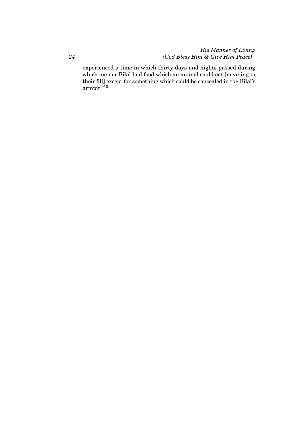### *His Manner of Living (God Bless Him & Give Him Peace)*

experienced a time in which thirty days and nights passed during which me nor Bilal had food which an animal could eat [meaning to their fill] except for something which could be concealed in the Bilal's ¯ armpit."<sup>10</sup>

*24*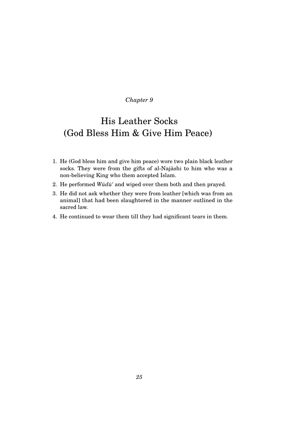## His Leather Socks (God Bless Him & Give Him Peace)

- 1. He (God bless him and give him peace) wore two plain black leather socks. They were from the gifts of al-Najāshi to him who was a non-believing King who them accepted Islam.
- 2. He performed  $W\bar{u}d\bar{u}'$  and wiped over them both and then prayed.
- 3. He did not ask whether they were from leather [which was from an animal] that had been slaughtered in the manner outlined in the sacred law.
- 4. He continued to wear them till they had significant tears in them.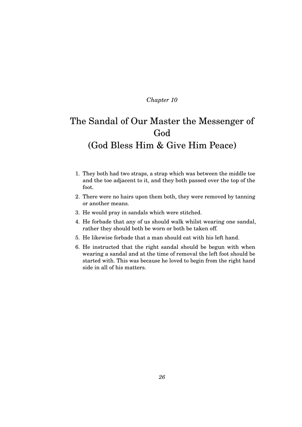## The Sandal of Our Master the Messenger of God (God Bless Him & Give Him Peace)

- 1. They both had two straps, a strap which was between the middle toe and the toe adjacent to it, and they both passed over the top of the foot.
- 2. There were no hairs upon them both, they were removed by tanning or another means.
- 3. He would pray in sandals which were stitched.
- 4. He forbade that any of us should walk whilst wearing one sandal, rather they should both be worn or both be taken off.
- 5. He likewise forbade that a man should eat with his left hand.
- 6. He instructed that the right sandal should be begun with when wearing a sandal and at the time of removal the left foot should be started with. This was because he loved to begin from the right hand side in all of his matters.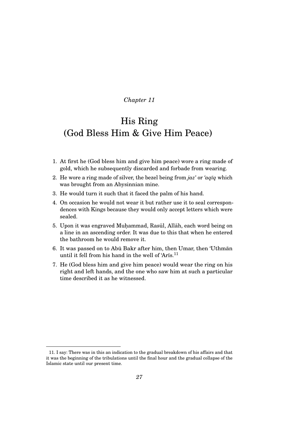### His Ring (God Bless Him & Give Him Peace)

- 1. At first he (God bless him and give him peace) wore a ring made of gold, which he subsequently discarded and forbade from wearing.
- 2. He wore a ring made of silver, the bezel being from  $jaz'$  or *'aq* $\bar{u}q$  which was brought from an Abysinnian mine.
- 3. He would turn it such that it faced the palm of his hand.
- 4. On occasion he would not wear it but rather use it to seal correspondences with Kings because they would only accept letters which were sealed.
- 5. Upon it was engraved Muhammad, Rasūl, Allāh, each word being on a line in an ascending order. It was due to this that when he entered the bathroom he would remove it.
- 6. It was passed on to Abū Bakr after him, then Umar, then 'Uthman until it fell from his hand in the well of 'Arīs. $^{11}$
- 7. He (God bless him and give him peace) would wear the ring on his right and left hands, and the one who saw him at such a particular time described it as he witnessed.

<sup>11.</sup> I say: There was in this an indication to the gradual breakdown of his affairs and that it was the beginning of the tribulations until the final hour and the gradual collapse of the Islamic state until our present time.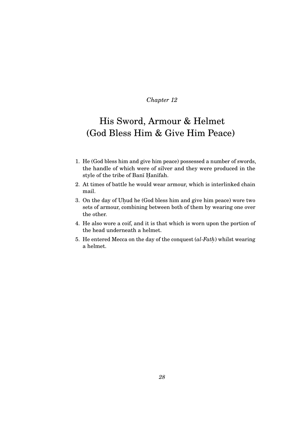## His Sword, Armour & Helmet (God Bless Him & Give Him Peace)

- 1. He (God bless him and give him peace) possessed a number of swords, the handle of which were of silver and they were produced in the style of the tribe of Banī Hanīfah.
- 2. At times of battle he would wear armour, which is interlinked chain mail.
- 3. On the day of Uhud he (God bless him and give him peace) wore two sets of armour, combining between both of them by wearing one over the other.
- 4. He also wore a coif, and it is that which is worn upon the portion of the head underneath a helmet.
- 5. He entered Mecca on the day of the conquest  $(al\text{-}Fath)$  whilst wearing a helmet.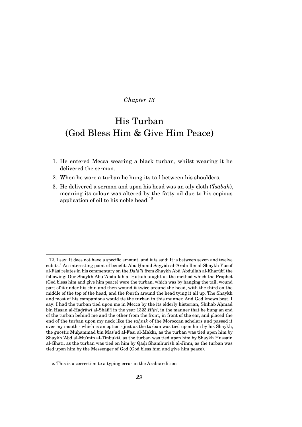### His Turban (God Bless Him & Give Him Peace)

- 1. He entered Mecca wearing a black turban, whilst wearing it he delivered the sermon.
- 2. When he wore a turban he hung its tail between his shoulders.
- 3. He delivered a sermon and upon his head was an oily cloth (*'Īsābah*), meaning its colour was altered by the fatty oil due to his copious application of oil to his noble head.<sup>12</sup>

<sup>12.</sup> I say: It does not have a specific amount, and it is said: It is between seven and twelve cubits.<sup>e</sup> An interesting point of benefit: Abū Hāmid Sayyidī al-'Arabī Ibn al-Shaykh Yūsuf al-Fāsī relates in his commentary on the *Dalā'il* from Shaykh Abū 'Abdullah al-Kharūbī the following: Our Shaykh Abū 'Abdullah al-Ḥaṭṭāb taught us the method which the Prophet (God bless him and give him peace) wore the turban, which was by hanging the tail, wound part of it under his chin and then wound it twice around the head, with the third on the middle of the top of the head, and the fourth around the head tying it all up. The Shaykh and most of his companions would tie the turban in this manner. And God knows best. I say: I had the turban tied upon me in Mecca by the its elderly historian, Shihab Ahmad bin Ḥasan al-Ḥaḍrāwī al-Shāfi'ī in the year 1323 *Hijri*, in the manner that he hung an end of the turban behind me and the other from the front, in front of the ear, and placed the end of the turban upon my neck like the *tahnik* of the Moroccan scholars and passed it over my mouth - which is an option - just as the turban was tied upon him by his Shaykh, the gnostic Muhammad bin Mas'ūd al-Fāsī al-Makkī, as the turban was tied upon him by Shaykh 'Abd al-Mu'min al-Tinbuktī, as the turban was tied upon him by Shaykh Hussain al-Ghatī, as the turban was tied on him by Qāḍī Shamhūrish al-Jinnī, as the turban was tied upon him by the Messenger of God (God bless him and give him peace).

e. This is a correction to a typing error in the Arabic edition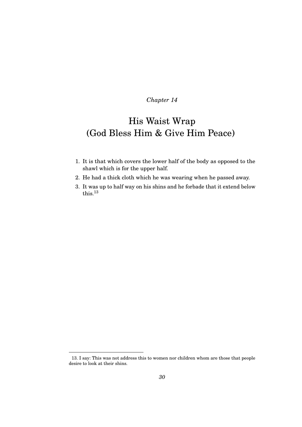## His Waist Wrap (God Bless Him & Give Him Peace)

- 1. It is that which covers the lower half of the body as opposed to the shawl which is for the upper half.
- 2. He had a thick cloth which he was wearing when he passed away.
- 3. It was up to half way on his shins and he forbade that it extend below this.<sup>13</sup>

<sup>13.</sup> I say: This was not address this to women nor children whom are those that people desire to look at their shins.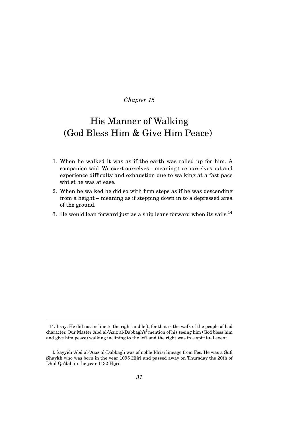## His Manner of Walking (God Bless Him & Give Him Peace)

- 1. When he walked it was as if the earth was rolled up for him. A companion said: We exert ourselves – meaning tire ourselves out and experience difficulty and exhaustion due to walking at a fast pace whilst he was at ease.
- 2. When he walked he did so with firm steps as if he was descending from a height – meaning as if stepping down in to a depressed area of the ground.
- 3. He would lean forward just as a ship leans forward when its sails.<sup>14</sup>

<sup>14.</sup> I say: He did not incline to the right and left, for that is the walk of the people of bad character. Our Master 'Abd al-'Azīz al-Dabbāgh's<sup>f</sup> mention of his seeing him (God bless him and give him peace) walking inclining to the left and the right was in a spiritual event.

f. Sayyidī 'Abd al-'Azīz al-Dabbāgh was of noble Idrisi lineage from Fes. He was a Sufi Shaykh who was born in the year 1095 Hijri and passed away on Thursday the 20th of Dhul Qa'dah in the year 1132 Hijri.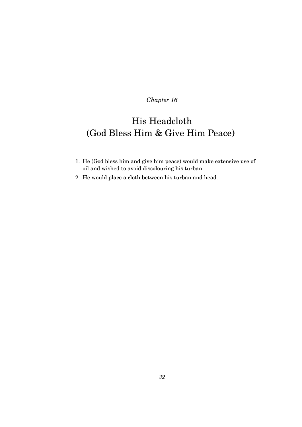# His Headcloth (God Bless Him & Give Him Peace)

- 1. He (God bless him and give him peace) would make extensive use of oil and wished to avoid discolouring his turban.
- 2. He would place a cloth between his turban and head.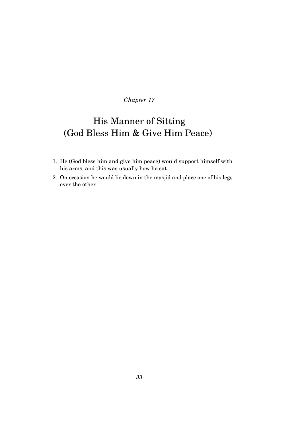# His Manner of Sitting (God Bless Him & Give Him Peace)

- 1. He (God bless him and give him peace) would support himself with his arms, and this was usually how he sat.
- 2. On occasion he would lie down in the masjid and place one of his legs over the other.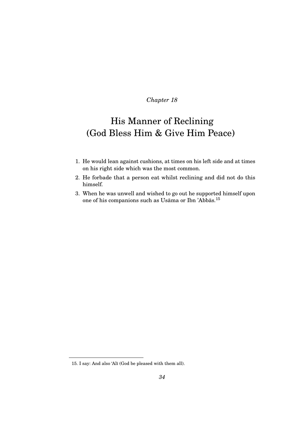## His Manner of Reclining (God Bless Him & Give Him Peace)

- 1. He would lean against cushions, at times on his left side and at times on his right side which was the most common.
- 2. He forbade that a person eat whilst reclining and did not do this himself.
- 3. When he was unwell and wished to go out he supported himself upon one of his companions such as Usāma or Ibn 'Abbās.<sup>15</sup>

<sup>15.</sup> I say: And also 'Alī (God be pleased with them all).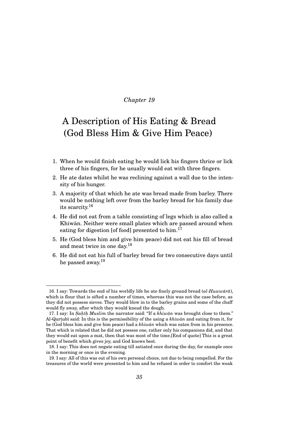## A Description of His Eating & Bread (God Bless Him & Give Him Peace)

- 1. When he would finish eating he would lick his fingers thrice or lick three of his fingers, for he usually would eat with three fingers.
- 2. He ate dates whilst he was reclining against a wall due to the intensity of his hunger.
- 3. A majority of that which he ate was bread made from barley. There would be nothing left over from the barley bread for his family due its scarcity.<sup>16</sup>
- 4. He did not eat from a table consisting of legs which is also called a Khiwān. Neither were small plates which are passed around when eating for digestion [of food] presented to him. $^{17}$
- 5. He (God bless him and give him peace) did not eat his fill of bread and meat twice in one day.<sup>18</sup>
- 6. He did not eat his full of barley bread for two consecutive days until he passed away.<sup>19</sup>

<sup>16.</sup> I say: Towards the end of his worldly life he ate finely ground bread  $(al-Huww\bar{a}\bar{a})$ , which is flour that is sifted a number of times, whereas this was not the case before, as they did not possess sieves. They would blow in to the barley grains and some of the chaff would fly away, after which they would knead the dough.

<sup>17.</sup> I say: In *Sahih Muslim* the narrator said: "If a *khiwan* was brought close to them." Al-Qurtubī said: In this is the permissibility of the using a *khiwan* and eating from it, for he (God bless him and give him peace) had a *khiwan* which was eaten from in his presence. That which is related that he did not possess one, rather only his companions did, and that they would eat upon a mat, then that was most of the time.[End of quote] This is a great point of benefit which gives joy, and God knows best.

<sup>18.</sup> I say: This does not negate eating till satiated once during the day, for example once in the morning or once in the evening.

<sup>19.</sup> I say: All of this was out of his own personal choice, not due to being compelled. For the treasures of the world were presented to him and he refused in order to comfort the weak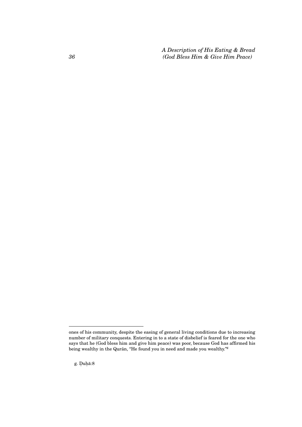*A Description of His Eating & Bread (God Bless Him & Give Him Peace)*

g. Duhā:8

*36*

ones of his community, despite the easing of general living conditions due to increasing number of military conquests. Entering in to a state of disbelief is feared for the one who says that he (God bless him and give him peace) was poor, because God has affirmed his being wealthy in the Qurān, "He found you in need and made you wealthy."<sup>g</sup>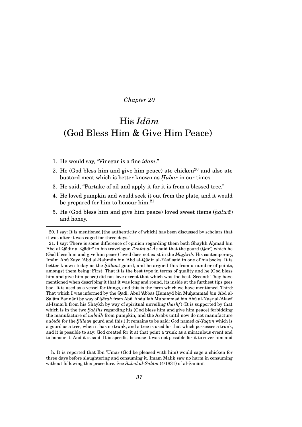## His *Idam* (God Bless Him & Give Him Peace)

- 1. He would say, "Vinegar is a fine  $id\bar{a}m$ ."
- 2. He (God bless him and give him peace) ate chicken<sup>20</sup> and also ate bustard meat which is better known as *Hubar* in our times.
- 3. He said, "Partake of oil and apply it for it is from a blessed tree."
- 4. He loved pumpkin and would seek it out from the plate, and it would be prepared for him to honour him.<sup>21</sup>
- 5. He (God bless him and give him peace) loved sweet items (*h. alw ¯a*) and honey.

h. It is reported that Ibn 'Umar (God be pleased with him) would cage a chicken for three days before slaughtering and consuming it. Imam Malik saw no harm in consuming without following this procedure. See *Subul al-Salām* (4/1831) of al-Sanānī.

<sup>20.</sup> I say: It is mentioned [the authenticity of which] has been discussed by scholars that it was after it was caged for three days. $<sup>h</sup>$ </sup>

<sup>21.</sup> I say: There is some difference of opinion regarding them both Shaykh Ahmad bin 'Abd al-Qādir al-Qādirī in his travelogue *Tuhfat al-Ās s*aid that the gourd (*Qar'*) which he (God bless him and give him peace) loved does not exist in the *Maghrib*. His contemporary, Imām Abū Zayd 'Abd al-Rahmān bin 'Abd al-Qādir al-Fāsī said in one of his books: It is better known today as the *Sillawī* gourd, and he argued this from a number of points, amongst them being: First: That it is the best type in terms of quality and he (God bless him and give him peace) did not love except that which was the best. Second: They have mentioned when describing it that it was long and round, its inside at the furthest tips goes bad. It is used as a vessel for things, and this is the form which we have mentioned. Third: That which I was informed by the Qadi, Abūl 'Abbās Humayd bin Muhammad bin 'Abd al-Salām Bannānī by way of *ijāzah* from Abū 'Abdullah Muḥammad bin Abū al-Naṣr al-'Alawī al-Ismai'l I from his Shaykh by way of spiritual unveiling (*kashf*) (It is supported by that which is in the two *Saḥīhs* regarding his (God bless him and give him peace) forbidding the manufacture of *nab¯ıdh* from pumpkin, and the Arabs until now do not manufacture  $nab\bar{a}h$  for the  $Sillaw\bar{\imath}$  gourd and this.) It remains to be said: God named  $al$ -*Yaqtīn* which is a gourd as a tree, when it has no trunk, and a tree is used for that which possesses a trunk, and it is possible to say: God created for it at that point a trunk as a miraculous event and to honour it. And it is said: It is specific, because it was not possible for it to cover him and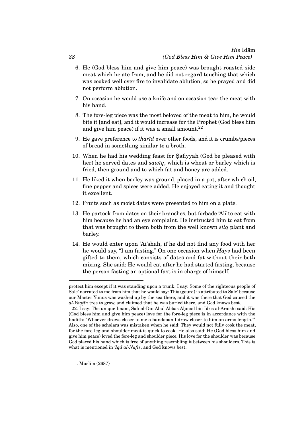### *His* Idam¯ *(God Bless Him & Give Him Peace)*

- 6. He (God bless him and give him peace) was brought roasted side meat which he ate from, and he did not regard touching that which was cooked well over fire to invalidate ablution, so he prayed and did not perform ablution.
- 7. On occasion he would use a knife and on occasion tear the meat with his hand.
- 8. The fore-leg piece was the most beloved of the meat to him, he would bite it [and eat], and it would increase for the Prophet (God bless him and give him peace) if it was a small amount. $^{22}$
- 9. He gave preference to *thartd* over other foods, and it is crumbs/pieces of bread in something similar to a broth.
- 10. When he had his wedding feast for Safiyyah (God be pleased with her) he served dates and *sawiq*, which is wheat or barley which is fried, then ground and to which fat and honey are added.
- 11. He liked it when barley was ground, placed in a pot, after which oil, fine pepper and spices were added. He enjoyed eating it and thought it excellent.
- 12. Fruits such as moist dates were presented to him on a plate.
- 13. He partook from dates on their branches, but forbade 'Alī to eat with him because he had an eye complaint. He instructed him to eat from that was brought to them both from the well known *silq* plant and barley.
- 14. He would enter upon  $\tilde{A}i\$ ah, if he did not find any food with her he would say, "I am fasting." On one occasion when *Hays* had been gifted to them, which consists of dates and fat without their both mixing. She said: He would eat after he had started fasting, because the person fasting an optional fast is in charge of himself.

i. Muslim (2687)

*38*

protect him except if it was standing upon a trunk. I say: Some of the righteous people of Sale' narrated to me from him that he would say: This (gourd) is attributed to Sale' because our Master Yunus was washed up by the sea there, and it was there that God caused the al-Yaqtīn tree to grow, and claimed that he was buried there, and God knows best.

<sup>22.</sup> I say: The unique Imām, Safī al-Dīn Abūl Abbās Ahmad bin Idrīs al-Arāishī said: His (God bless him and give him peace) love for the fore-leg piece is in accordance with the hadith: "Whoever draws closer to me a handspan I draw closer to him an arms length."<sup>i</sup> Also, one of the scholars was mistaken when he said: They would not fully cook the meat, for the fore-leg and shoulder meat is quick to cook. He also said: He (God bless him and give him peace) loved the fore-leg and shoulder piece. His love for the shoulder was because God placed his hand which is free of anything resembling it between his shoulders. This is what is mentioned in *'Iqd al-Nafis*, and God knows best.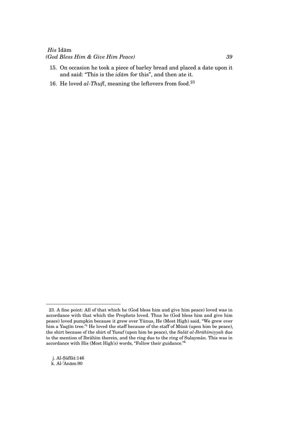### *His* Idam¯

#### *(God Bless Him & Give Him Peace) 39*

- 15. On occasion he took a piece of barley bread and placed a date upon it and said: "This is the *idam* for this", and then ate it.
- 16. He loved *al-Thufl*, meaning the leftovers from food.<sup>23</sup>

j. Al-Sāffāt:146  $k.$  Al-'Anām:90

<sup>23.</sup> A fine point: All of that which he (God bless him and give him peace) loved was in accordance with that which the Prophets loved. Thus he (God bless him and give him peace) loved pumpkin because it grew over Yūnus, He (Most High) said, "We grew over him a Yaqtīn tree."<sup>j</sup> He loved the staff because of the staff of Mūsā (upon him be peace), the shirt because of the shirt of Yusuf (upon him be peace), the *Salat al-Ibrahīmiyyah* due to the mention of Ibrāhīm therein, and the ring due to the ring of Sulaymān. This was in accordance with His (Most High's) words, "Follow their guidance."<sup>k</sup>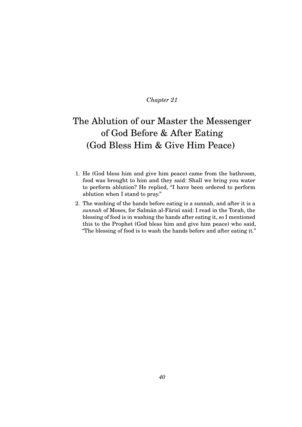# The Ablution of our Master the Messenger of God Before & After Eating (God Bless Him & Give Him Peace)

- 1. He (God bless him and give him peace) came from the bathroom, food was brought to him and they said: Shall we bring you water to perform ablution? He replied, "I have been ordered to perform ablution when I stand to pray."
- 2. The washing of the hands before eating is a sunnah, and after it is a sunnah of Moses, for Salman al-Farisi said: I read in the Torah, the blessing of food is in washing the hands after eating it, so I mentioned this to the Prophet (God bless him and give him peace) who said, "The blessing of food is to wash the hands before and after eating it."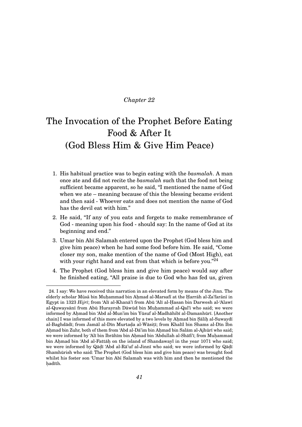# The Invocation of the Prophet Before Eating Food & After It (God Bless Him & Give Him Peace)

- 1. His habitual practice was to begin eating with the *basmalah*. A man once ate and did not recite the *basmalah* such that the food not being sufficient became apparent, so he said, "I mentioned the name of God when we ate – meaning because of this the blessing became evident and then said - Whoever eats and does not mention the name of God has the devil eat with him."
- 2. He said, "If any of you eats and forgets to make remembrance of God - meaning upon his food - should say: In the name of God at its beginning and end."
- 3. Umar bin Abī Salamah entered upon the Prophet (God bless him and give him peace) when he had some food before him. He said, "Come closer my son, make mention of the name of God (Most High), eat with your right hand and eat from that which is before you." $24$
- 4. The Prophet (God bless him and give him peace) would say after he finished eating, "All praise is due to God who has fed us, given

<sup>24.</sup> I say: We have received this narration in an elevated form by means of the Jinn. The elderly scholar Mūsā bin Muhammad bin Ahmad al-Marsafī at the Harrāh al-Za'farānī in Egypt in 1323 *Hijrī*; from 'Alī al-Khanā'ī from Abū 'Alī al-Hasan bin Darwesh al-'Alawī al-Quwaysānī from Abū Hurayrah Dāwūd bin Muhammad al-Qal'ī who said; we were informed by Ahmad bin 'Abd al-Mun'im bin Yūsuf al-Madhāhibī al-Damanhūrī. [Another chain] I was informed of this more elevated by a two levels by Ahmad bin Sālih al-Suwaydī al-Baghdādī; from Jamāl al-Dīn Murtaḍa al-Wāsiṭī; from Khalīl bin Shams al-Dīn Ibn Ahmad bin Zuhr, both of them from 'Abd al-Dā'im bin Ahmad bin Salām al-Ajhūrī who said; we were informed by 'Alī bin Ibrāhīm bin Ahmad bin 'Abdullah al-Shāfi'ī; from Muhammad bin Ahmad bin 'Abd al-Fattāh on the island of Shandawayl in the year 1071 who said; we were informed by Qāḍī 'Abd al-Rā'uf al-Jinnī who said; we were informed by Qāḍī Shamhūrish who said: The Prophet (God bless him and give him peace) was brought food whilst his foster son 'Umar bin Abī Salamah was with him and then he mentioned the hadīth.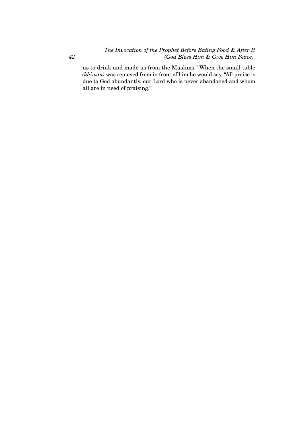*The Invocation of the Prophet Before Eating Food & After It (God Bless Him & Give Him Peace)*

us to drink and made us from the Muslims." When the small table *(khiwān)* was removed from in front of him he would say, "All praise is due to God abundantly, our Lord who is never abandoned and whom all are in need of praising."

*42*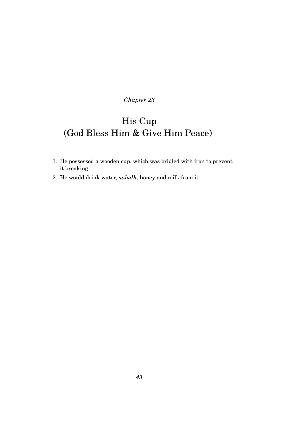# His Cup (God Bless Him & Give Him Peace)

- 1. He possessed a wooden cup, which was bridled with iron to prevent it breaking.
- 2. He would drink water,  $nab\bar{u}h$ , honey and milk from it.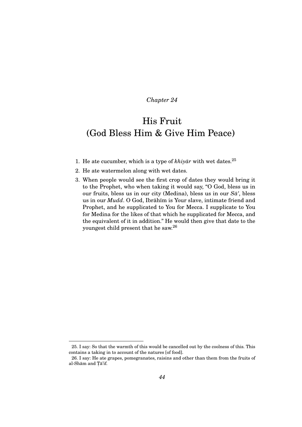## His Fruit (God Bless Him & Give Him Peace)

- 1. He ate cucumber, which is a type of  $khiy\bar{a}r$  with wet dates.<sup>25</sup>
- 2. He ate watermelon along with wet dates.
- 3. When people would see the first crop of dates they would bring it to the Prophet, who when taking it would say, "O God, bless us in our fruits, bless us in our city (Medina), bless us in our  $S\bar{a}'$ , bless us in our *Mudd*. O God, Ibrāhīm is Your slave, intimate friend and Prophet, and he supplicated to You for Mecca. I supplicate to You for Medina for the likes of that which he supplicated for Mecca, and the equivalent of it in addition." He would then give that date to the youngest child present that he saw.<sup>26</sup>

<sup>25.</sup> I say: So that the warmth of this would be cancelled out by the coolness of this. This contains a taking in to account of the natures [of food].

<sup>26.</sup> I say: He ate grapes, pomegranates, raisins and other than them from the fruits of al-Shām and Tā'if.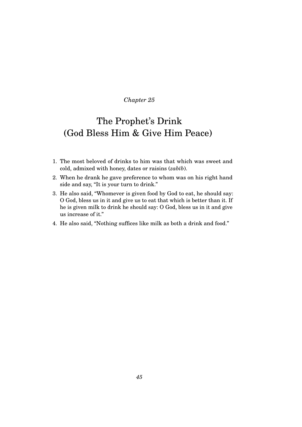## The Prophet's Drink (God Bless Him & Give Him Peace)

- 1. The most beloved of drinks to him was that which was sweet and cold, admixed with honey, dates or raisins (*zabīb*).
- 2. When he drank he gave preference to whom was on his right hand side and say, "It is your turn to drink."
- 3. He also said, "Whomever is given food by God to eat, he should say: O God, bless us in it and give us to eat that which is better than it. If he is given milk to drink he should say: O God, bless us in it and give us increase of it."

#### 4. He also said, "Nothing suffices like milk as both a drink and food."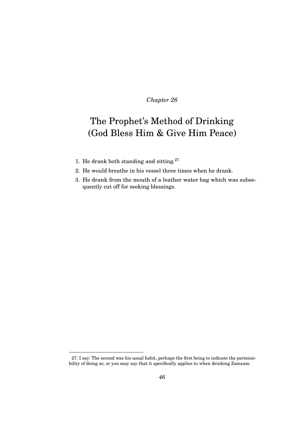## The Prophet's Method of Drinking (God Bless Him & Give Him Peace)

- 1. He drank both standing and sitting.<sup>27</sup>
- 2. He would breathe in his vessel three times when he drank.
- 3. He drank from the mouth of a leather water bag which was subsequently cut off for seeking blessings.

<sup>27.</sup> I say: The second was his usual habit, perhaps the first being to indicate the permissibility of doing so, or you may say that it specifically applies to when drinking Zamzam.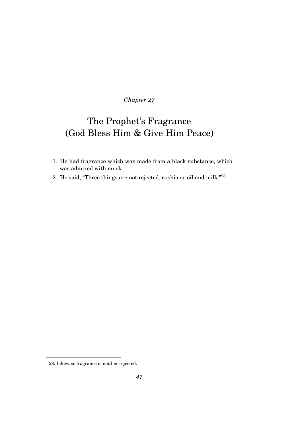## The Prophet's Fragrance (God Bless Him & Give Him Peace)

- 1. He had fragrance which was made from a black substance, which was admixed with musk.
- 2. He said, "Three things are not rejected, cushions, oil and milk."<sup>28</sup>

<sup>28.</sup> Likewise fragrance is neither rejected.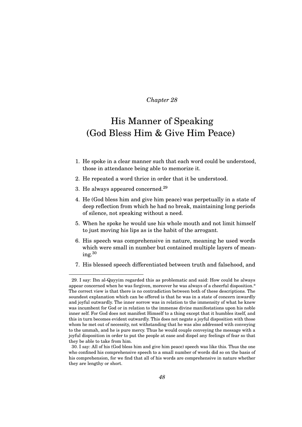### His Manner of Speaking (God Bless Him & Give Him Peace)

- 1. He spoke in a clear manner such that each word could be understood, those in attendance being able to memorize it.
- 2. He repeated a word thrice in order that it be understood.
- 3. He always appeared concerned.<sup>29</sup>
- 4. He (God bless him and give him peace) was perpetually in a state of deep reflection from which he had no break, maintaining long periods of silence, not speaking without a need.
- 5. When he spoke he would use his whole mouth and not limit himself to just moving his lips as is the habit of the arrogant.
- 6. His speech was comprehensive in nature, meaning he used words which were small in number but contained multiple layers of mean $ing.<sup>30</sup>$
- 7. His blessed speech differentiated between truth and falsehood, and

<sup>29.</sup> I say: Ibn al-Qayyim regarded this as problematic and said: How could he always appear concerned when he was forgiven, moreover he was always of a cheerful disposition.\* The correct view is that there is no contradiction between both of these descriptions. The soundest explanation which can be offered is that he was in a state of concern inwardly and joyful outwardly. The inner sorrow was in relation to the immensity of what he knew was incumbent for God or in relation to the immense divine manifestations upon his noble inner self. For God does not manifest Himself to a thing except that it humbles itself, and this in turn becomes evident outwardly. This does not negate a joyful disposition with those whom he met out of necessity, not withstanding that he was also addressed with conveying to the ummah, and he is pure mercy. Thus he would couple conveying the message with a joyful disposition in order to put the people at ease and dispel any feelings of fear so that they be able to take from him.

<sup>30.</sup> I say: All of his (God bless him and give him peace) speech was like this. Thus the one who confined his comprehensive speech to a small number of words did so on the basis of his comprehension, for we find that all of his words are comprehensive in nature whether they are lengthy or short.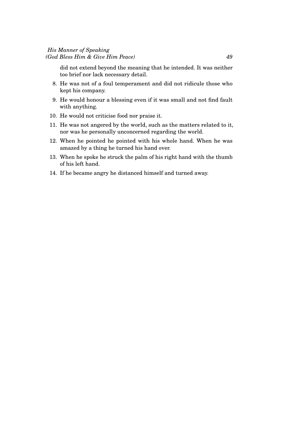### *His Manner of Speaking (God Bless Him & Give Him Peace) 49*

did not extend beyond the meaning that he intended. It was neither too brief nor lack necessary detail.

- 8. He was not of a foul temperament and did not ridicule those who kept his company.
- 9. He would honour a blessing even if it was small and not find fault with anything.
- 10. He would not criticise food nor praise it.
- 11. He was not angered by the world, such as the matters related to it, nor was he personally unconcerned regarding the world.
- 12. When he pointed he pointed with his whole hand. When he was amazed by a thing he turned his hand over.
- 13. When he spoke he struck the palm of his right hand with the thumb of his left hand.
- 14. If he became angry he distanced himself and turned away.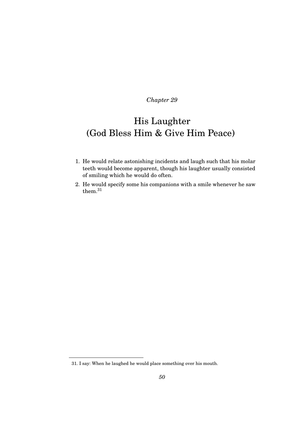## His Laughter (God Bless Him & Give Him Peace)

- 1. He would relate astonishing incidents and laugh such that his molar teeth would become apparent, though his laughter usually consisted of smiling which he would do often.
- 2. He would specify some his companions with a smile whenever he saw them.<sup>31</sup>

<sup>31.</sup> I say: When he laughed he would place something over his mouth.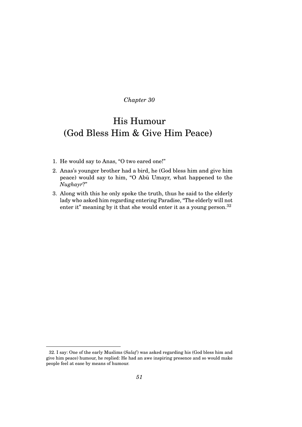## His Humour (God Bless Him & Give Him Peace)

- 1. He would say to Anas, "O two eared one!"
- 2. Anas's younger brother had a bird, he (God bless him and give him peace) would say to him, "O Abū Umayr, what happened to the *Nughayr*?"
- 3. Along with this he only spoke the truth, thus he said to the elderly lady who asked him regarding entering Paradise, "The elderly will not enter it" meaning by it that she would enter it as a young person.<sup>32</sup>

<sup>32.</sup> I say: One of the early Muslims (*Salaf*) was asked regarding his (God bless him and give him peace) humour, he replied: He had an awe inspiring presence and so would make people feel at ease by means of humour.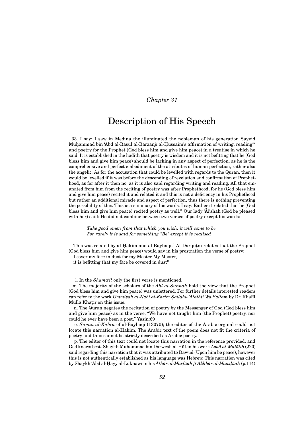### Description of His Speech

33. I say: I saw in Medina the illuminated the nobleman of his generation Sayyid Muhammad bin 'Abd al-Rasūl al-Barzanjī al-Hussainī's affirmation of writing, reading<sup>m</sup> and poetry for the Prophet (God bless him and give him peace) in a treatise in which he said: It is established in the hadith that poetry is wisdom and it is not befitting that he (God bless him and give him peace) should be lacking in any aspect of perfection, as he is the comprehensive and perfect embodiment of the attributes of human perfection, rather also the angelic. As for the accusation that could be levelled with regards to the Quran, then it would be levelled if it was before the descending of revelation and confirmation of Prophethood, as for after it then no, as it is also said regarding writing and reading. All that emanated from him from the reciting of poetry was after Prophethood, for he (God bless him and give him peace) recited it and related it and this is not a deficiency in his Prophethood but rather an additional miracle and aspect of perfection, thus there is nothing preventing the possibility of this. This is a summary of his words. I say: Rather it related that he (God bless him and give him peace) recited poetry as well.<sup>n</sup> Our lady 'Ai'shah (God be pleased with her) said: He did not combine between two verses of poetry except his words:

*Take good omen from that which you wish, it will come to be For rarely it is said for something "Be" except it is realised*

This was related by al-Hākim and al-Bayhaqī.<sup>o</sup> Al-Dārqu tnī relates that the Prophet (God bless him and give him peace) would say in his prostration the verse of poetry:

I cover my face in dust for my Master My Master,

it is befitting that my face be covered in dust<sup>p</sup>

l. In the *Shamā'il* only the first verse is mentioned.

m. The majority of the scholars of the *Ahl al-Sunnah* hold the view that the Prophet (God bless him and give him peace) was unlettered. For further details interested readers can refer to the work *Ummiyah al-Nabī al-Karīm Sallahu 'Alaihiī Wa Sallam* by Dr. Khalīl Mullā Khāṭir on this issue.

n. The Quran negates the recitation of poetry by the Messenger of God (God bless him and give him peace) as in the verse, "We have not taught him (the Prophet) poetry, nor could he ever have been a poet." Yasin:69

o. *Sunan al-Kubra* of al-Bayhaqi (13070); the editor of the Arabic orginal could not locate this narration al-Hakim. The Arabic text of the poem does not fit the criteria of poetry and thus cannot be strictly described as Arabic poetry.

p. The editor of this text could not locate this narration in the reference provided, and  $\rm God$  knows best. Shaykh Muḥammad bin Darwesh al-Ḥūt in his work Asnā al-Maṭālib (220) said regarding this narration that it was attributed to Dāwūd (Upon him be peace), however this is not authentically established as his language was Hebrew. This narration was cited by Shaykh 'Abd al-Ḥayy al-Luknawī in his *Athār al-Marfūah fī Akhbār al-Mawḍūah* (p.114)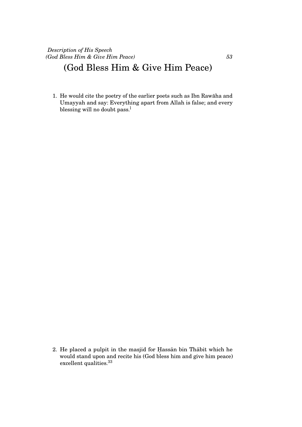### (God Bless Him & Give Him Peace)

1. He would cite the poetry of the earlier poets such as Ibn Rawaha and ¯ Umayyah and say: Everything apart from Allah is false; and every blessing will no doubt pass.<sup>1</sup>

2. He placed a pulpit in the masjid for Hassan bin Thabit which he would stand upon and recite his (God bless him and give him peace) excellent qualities.<sup>33</sup>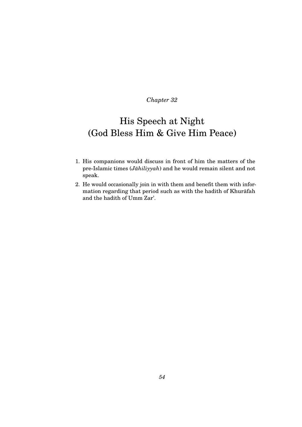## His Speech at Night (God Bless Him & Give Him Peace)

- 1. His companions would discuss in front of him the matters of the pre-Islamic times (*Jāhiliyyah*) and he would remain silent and not speak.
- 2. He would occasionally join in with them and benefit them with information regarding that period such as with the hadith of Khurafah ¯ and the hadith of Umm Zar'.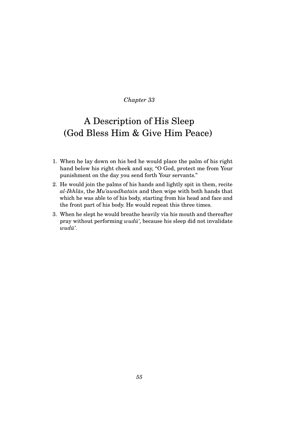## A Description of His Sleep (God Bless Him & Give Him Peace)

- 1. When he lay down on his bed he would place the palm of his right hand below his right cheek and say, "O God, protect me from Your punishment on the day you send forth Your servants."
- 2. He would join the palms of his hands and lightly spit in them, recite *al-Ikhl ¯as*, the *Mu'awadhatain* and then wipe with both hands that which he was able to of his body, starting from his head and face and the front part of his body. He would repeat this three times.
- 3. When he slept he would breathe heavily via his mouth and thereafter pray without performing *wudu*', because his sleep did not invalidate  $wud\bar{u}'$ .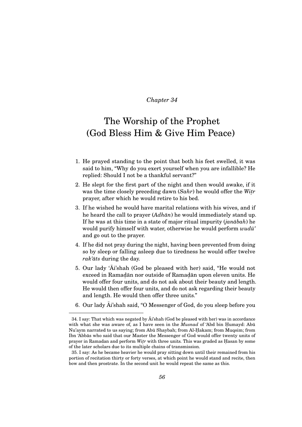### The Worship of the Prophet (God Bless Him & Give Him Peace)

- 1. He prayed standing to the point that both his feet swelled, it was said to him, "Why do you exert yourself when you are infallible? He replied: Should I not be a thankful servant?"
- 2. He slept for the first part of the night and then would awake, if it was the time closely preceding dawn (*Sahr*) he would offer the *Witr* prayer, after which he would retire to his bed.
- 3. If he wished he would have marital relations with his wives, and if he heard the call to prayer (*Adhān*) he would immediately stand up. If he was at this time in a state of major ritual impurity *(janābah*) he would purify himself with water, otherwise he would perform  $wud\bar{u}$ <sup>'</sup> and go out to the prayer.
- 4. If he did not pray during the night, having been prevented from doing so by sleep or falling asleep due to tiredness he would offer twelve *rak'āts* during the day.
- 5. Our lady 'Ai'shah (God be pleased with her) said, "He would not exceed in Ramadān nor outside of Ramadān upon eleven units. He would offer four units, and do not ask about their beauty and length. He would then offer four units, and do not ask regarding their beauty and length. He would then offer three units."
- 6. Our lady  $\overline{Ai}$ 'shah said, "O Messenger of God, do you sleep before you

 $34.$  I say: That which was negated by  $\overline{A}$  shah (God be pleased with her) was in accordance with what she was aware of, as I have seen in the *Musnad* of 'Abd bin Humayd: Abū Nu'aym narrated to us saying; from Abū Shaybah; from Al-Hakam; from Muqsim; from Ibn 'Abbās who said that our Master the Messenger of God would offer twenty units of prayer in Ramadan and perform *Witr* with three units. This was graded as Hasan by some of the later scholars due to its multiple chains of transmission.

<sup>35.</sup> I say: As he became heavier he would pray sitting down until their remained from his portion of recitation thirty or forty verses, at which point he would stand and recite, then bow and then prostrate. In the second unit he would repeat the same as this.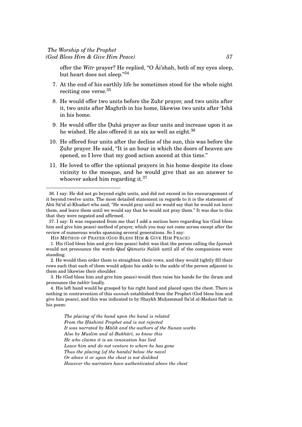offer the *Witr* prayer? He replied, "O  $\overline{Ai}$ 'shah, both of my eyes sleep, but heart does not sleep."<sup>34</sup>

- 7. At the end of his earthly life he sometimes stood for the whole night reciting one verse.<sup>35</sup>
- 8. He would offer two units before the Zuhr prayer, and two units after it, two units after Maghrib in his home, likewise two units after 'Isha in his home.
- 9. He would offer the Duha prayer as four units and increase upon it as he wished. He also offered it as six as well as eight. $36$
- 10. He offered four units after the decline of the sun, this was before the Zuhr prayer. He said, "It is an hour in which the doors of heaven are opened, so I love that my good action ascend at this time."
- 11. He loved to offer the optional prayers in his home despite its close vicinity to the mosque, and he would give that as an answer to whoever asked him regarding it.<sup>37</sup>

*The placing of the hand upon the hand is related From the H. ¯ashim¯ı Prophet and is not rejected* It was narrated by Malik and the authors of the Sunan works *Also by Muslim and al-Bukh ¯ar¯ı, so know this He who claims it is an innovation has lied Leave him and do not venture to where he has gone Thus the placing [of the hands] below the navel Or above it or upon the chest is not disliked However the narrators have authenticated above the chest*

<sup>36.</sup> I say: He did not go beyond eight units, and did not exceed in his encouragement of it beyond twelve units. The most detailed statement in regards to it is the statement of Abū Sā'id al-Khudarī who said, "He would pray until we would say that he would not leave them, and leave them until we would say that he would not pray them." It was due to this that they were negated and affirmed.

<sup>37.</sup> I say: It was requested from me that I add a section here regarding his (God bless him and give him peace) method of prayer, which you may not come across except after the review of numerous works spanning several generations. So I say:

HIS METHOD OF PRAYER (GOD BLESS HIM & GIVE HIM PEACE)

<sup>1.</sup> His (God bless him and give him peace) habit was that the person calling the *Iqamah* would not pronounce the words *Qad Qāmatis Salāh* until all of the companions were standing.

<sup>2.</sup> He would then order them to straighten their rows, and they would tightly fill their rows such that each of them would adjoin his ankle to the ankle of the person adjacent to them and likewise their shoulder.

<sup>3.</sup> He (God bless him and give him peace) would then raise his hands for the ihram and pronounce the *takbūr* loudly.

<sup>4.</sup> His left hand would be grasped by his right hand and placed upon the chest. There is nothing in contravention of this *sunnah* established from the Prophet (God bless him and give him peace), and this was indicated to by Shaykh Muhammad Sa'id al-Madanī Safr in his poem: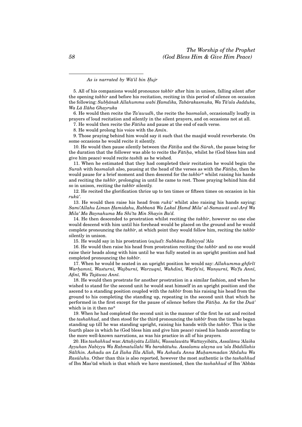As is narrated by Wa'il bin *Hujr* 

5. All of his companions would pronounce *takbūr* after him in unison, falling silent after the opening *takbir* and before his recitation, reciting in this period of silence on occasion the following: *Subh. ¯anak Allahumma wabi H. amdika, Tab ¯arakasmuka, Wa T ¯a'ala Jadduka, Wa L ¯a Il ¯aha Ghayruka*

6. He would then recite the *Ta'awudh*, the recite the *basmalah*, occasionally loudly in prayers of loud recitation and silently in the silent prayers, and on occasions not at all.

7. He would then recite the Fātiha and pause at the end of each verse.

8. He would prolong his voice with the  $Am\bar{i}n$ .

9. Those praying behind him would say it such that the masjid would reverberate. On some occasions he would recite it silently.

10. He would then pause silently between the *Fatiha* and the *Surah*, the pause being for the duration that the follower was able to recite the *Fatiha*, whilst he (God bless him and give him peace) would recite *tasbih* as he wished.

11. When he estimated that they had completed their recitation he would begin the *Surah* with *basmalah* also, pausing at the head of the verses as with the *Fatiha*, then he would pause for a brief moment and then descend for the *takbir*\* whilst raising his hands and reciting the *takbūr*, prolonging in until he came to rest. Those praying behind him did so in unison, reciting the *takbīr* silently.

12. He recited the glorification thrice up to ten times or fifteen times on occasion in his  $ruk\bar{u}'$ .

13. He would then raise his head from  $ruk\bar{u}'$  whilst also raising his hands saying:  $Sami'Allahu Liman Hamidahu, Rabbanā Wa Lakal Hamd Mila' al-Samawāt wal-Ard Wa$ *Mila' Ma Baynahuma Ma Shi'ta Min Shayin Ba'd.*

14. He then descended to prostration whilst reciting the *takbūr*, however no one else would descend with him until his forehead would be placed on the ground and he would complete pronouncing the *takbūr*, at which point they would follow him, reciting the *takbūr* silently in unison.

15. He would say in his prostration (*sujud*): *Subh ¯ana Rabiyyal 'Ala*

16. He would then raise his head from prostration reciting the *takbūr* and no one would raise their heads along with him until he was fully seated in an upright position and had completed pronouncing the *takbūr*.

17. When he would be seated in an upright position he would say: *Allahumma-ghfirl¯ı Warh. amn¯ı, Wasturn¯ı, Wajburn¯ı, Warzuqn¯ı, Wahdin¯ı, Warfa'n¯ı, Wans.urn¯ı, Wa'fu Ann¯ı,*  $A\hat{f}$ *inī*, Wa Tajāwaz Annī.

18. He would then prostrate for another prostration in a similar fashion, and when he wished to stand for the second unit he would seat himself in an upright position and the ascend to a standing position coupled with the *takbūr* from his raising his head from the ground to his completing the standing up, repeating in the second unit that which he performed in the first except for the pause of silence before the *Fatiha*. As for the *Dua*' which is in it then no\*

19. When he had completed the second unit in the manner of the first he sat and recited the *tashahhud*, and then stood for the third pronouncing the *takbūr* from the time he began standing up till he was standing upright, raising his hands with the *takbūr*. This is the fourth place in which he (God bless him and give him peace) raised his hands according to the more well-known narrations, as was his practice in all of his prayers.

20. His *tashahhud was: Attaḥiyātu Lillāhi, Wassalawātu Wattayyibātu, Assalāmu 'Alaika*  $A$ yyuhan Nabiyyu Wa Rahmatullahi Wa barakātuhu. Assalamu alayna wa 'ala Ibādillahis  $S$ ālīhin. Ashadu an Lā Ilaha Illa Allah, Wa Ashadu Anna Muhammadan 'Abduhu Wa *Ras ¯uluhu*. Other than this is also reported, however the most authentic is the *tashahhud* of Ibn Mas'ūd which is that which we have mentioned, then the *tashahhud* of Ibn 'Abbas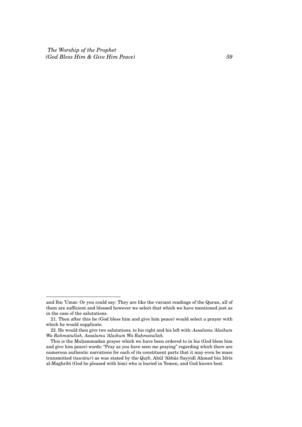*The Worship of the Prophet (God Bless Him & Give Him Peace) 59*

and Ibn 'Umar. Or you could say: They are like the variant readings of the Quran, all of them are sufficient and blessed however we select that which we have mentioned just as in the case of the salutations.

<sup>21.</sup> Then after this he (God bless him and give him peace) would select a prayer with which he would supplicate.

<sup>22.</sup> He would then give two salutations, to his right and his left with: *Assalamu 'Alaikum* Wa Rahmatullah, Assalamu 'Alaikum Wa Rahmatullah.

This is the Muhammadan prayer which we have been ordered to in his (God bless him and give him peace) words: "Pray as you have seen me praying" regarding which there are numerous authentic narrations for each of its constituent parts that it may even be mass transmitted (*tawātur*) as was stated by the *Qutb*, Abūl 'Abbās Sayyidī Ahmad bin Idrīs al-Maghribī (God be pleased with him) who is buried in Yemen, and God knows best.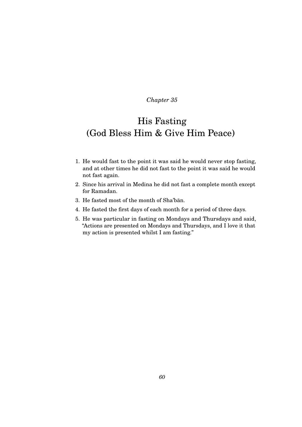## His Fasting (God Bless Him & Give Him Peace)

- 1. He would fast to the point it was said he would never stop fasting, and at other times he did not fast to the point it was said he would not fast again.
- 2. Since his arrival in Medina he did not fast a complete month except for Ramadan.
- 3. He fasted most of the month of Sha'ban.
- 4. He fasted the first days of each month for a period of three days.
- 5. He was particular in fasting on Mondays and Thursdays and said, "Actions are presented on Mondays and Thursdays, and I love it that my action is presented whilst I am fasting."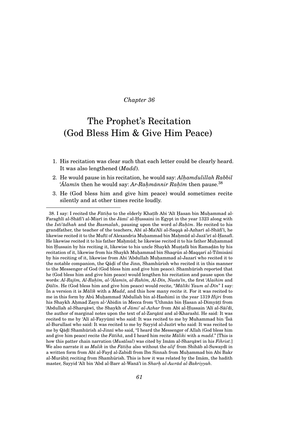## The Prophet's Recitation (God Bless Him & Give Him Peace)

- 1. His recitation was clear such that each letter could be clearly heard. It was also lengthened (*Madd*).
- 2. He would pause in his recitation, he would say: *Alh. amdulillah Rabbil*  $'A$ *lamīn* then he would say: *Ar-Rahmānnir Rahīm* then pause.<sup>38</sup>
- 3. He (God bless him and give him peace) would sometimes recite silently and at other times recite loudly.

<sup>38.</sup> I say: I recited the *Fātiḥa* to the elderly Khaṭīb Abi 'Alī Ḥasan bin Muḥammad al-Faraghlī al-Shāfi'ī al-Miṣrī in the Jāmi' al-Ḥussaini in Egypt in the year 1323 along with the *Isti'ādhah* and the *Basmalah*, pausing upon the word *al-Raḥīm*. He recited to his grandfather, the teacher of the teachers, Abī al-Ma'Alī al-Saqqā al-Azharī al-Shāfi'ī, he likewise recited it to the Muftī of Alexandria Muhammad bin Mahmūd al-Jazā'irī al-Ḥanafī. He likewise recited it to his father Mahmud; he likewise recited it to his father Muhammad bin Hussain by his reciting it, likewise to his uncle Shaykh Mustafā bin Ramadān by his recitation of it, likewise from his Shaykh Muhammad bin Shaqrun al-Maqqarī al-Tilmisānī by his reciting of it, likewise from Abi 'Abdullah Muhammad al-Jazarī who recited it to the notable companion, the Qāḍī of the Jinn, Shamhūrish who recited it in this manner to the Messenger of God (God bless him and give him peace). Shamhūrish reported that he (God bless him and give him peace) would lengthen his recitation and pause upon the  $\sigma$ words: *Al-Rajīm, Al-Raḥīm, al-ʿĀlamīn, al-Rahīm, Al-Dīn, Nasta'īn,* the first '*Alaihim* and *D. ¯al¯ın*. He (God bless him and give him peace) would recite, "*M ¯al¯ıki Yaum al-D¯ın*" I say: In a version it is *Malīk* with a *Madd*, and this how many recite it. For it was recited to me in this form by Abū Muhammad 'Abdullah bin al-Hashimī in the year 1319 *Hijri* from his Shaykh Aḥmad Zayn al-'Ābidin in Mecca from 'Uthmān bin Ḥasan al-Dimyāṭī from 'Abdullah al-Sharqāwī, the Shaykh of *Jāmi' al-Azhar* from Abī al-Hussain 'Alī al-Sāi'dī, the author of marginal notes upon the text of al-Zarqānī and al-Kharashī. He said: It was recited to me by 'Alī al-Fayyūmī who said: It was recited to me by Muhammad bin 'Īsā al-Burullasī who said: It was recited to me by Sayyid al-Jazīrī who said: It was recited to me by Qāḍī Shamhūrish al-Jinnī who said, "I heard the Messenger of Allah (God bless him and give him peace) recite the *Fatiha*, and I heard him recite *Maliki* with a *madd*." [This is how this patter chain narration (*Musālsal*) was cited by Imām al-Sharqāwī in his *Fihrist*.] We also narrate it as *Malik* in the *Fatiha* also without the *alif* from Shihab al-Suwaydi in a written form from Abī al-Fayd al-Zabidī from Ibn Sinnah from Muhammad bin Abi Bakr al-Murābiṭ reciting from Shamhūrish. This is how it was related by the Imām, the hadith master, Sayyid 'Alī bin 'Abd al-Barr al-Wanā'ī in *Sharh al-Awrād al-Bakriyyah*.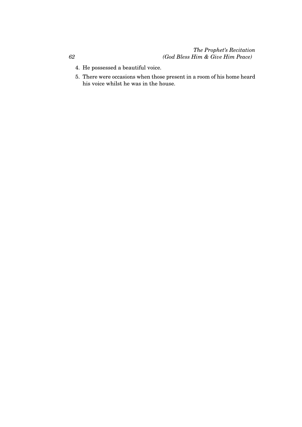### *The Prophet's Recitation (God Bless Him & Give Him Peace)*

- 4. He possessed a beautiful voice.
- 5. There were occasions when those present in a room of his home heard his voice whilst he was in the house.

*62*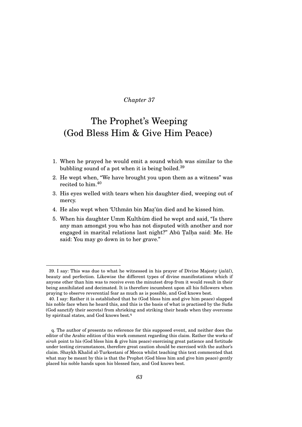## The Prophet's Weeping (God Bless Him & Give Him Peace)

- 1. When he prayed he would emit a sound which was similar to the bubbling sound of a pot when it is being boiled.<sup>39</sup>
- 2. He wept when, "We have brought you upon them as a witness" was recited to him.<sup>40</sup>
- 3. His eyes welled with tears when his daughter died, weeping out of mercy.
- 4. He also wept when 'Uthmān bin Maz'ūn died and he kissed him.
- 5. When his daughter Umm Kulthūm died he wept and said, "Is there any man amongst you who has not disputed with another and nor engaged in marital relations last night?" Abū Talha said: Me. He said: You may go down in to her grave."

<sup>39.</sup> I say: This was due to what he witnessed in his prayer of Divine Majesty (*jalal*), beauty and perfection. Likewise the different types of divine manifestations which if anyone other than him was to receive even the minutest drop from it would result in their being annihilated and decimated. It is therefore incumbent upon all his followers when praying to observe reverential fear as much as is possible, and God knows best.

<sup>40.</sup> I say: Rather it is established that he (God bless him and give him peace) slapped his noble face when he heard this, and this is the basis of what is practised by the Sufis (God sanctify their secrets) from shrieking and striking their heads when they overcome by spiritual states, and God knows best.<sup>q</sup>

q. The author of presents no reference for this supposed event, and neither does the editor of the Arabic edition of this work comment regarding this claim. Rather the works of *sirah* point to his (God bless him & give him peace) exercising great patience and fortitude under testing circumstances, therefore great caution should be exercised with the author's claim. Shaykh Khalid al-Turkestani of Mecca whilst teaching this text commented that what may be meant by this is that the Prophet (God bless him and give him peace) gently placed his noble hands upon his blessed face, and God knows best.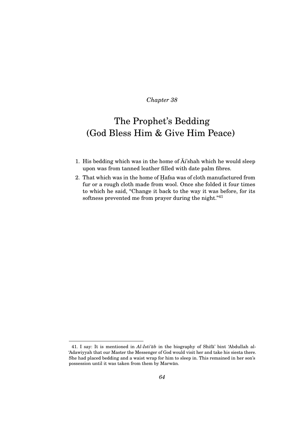## The Prophet's Bedding (God Bless Him & Give Him Peace)

- 1. His bedding which was in the home of  $\overline{A}i$ 'shah which he would sleep upon was from tanned leather filled with date palm fibres.
- 2. That which was in the home of Hafsa was of cloth manufactured from fur or a rough cloth made from wool. Once she folded it four times to which he said, "Change it back to the way it was before, for its softness prevented me from prayer during the night."<sup>41</sup>

<sup>41.</sup> I say: It is mentioned in  $Al\text{-}Isti\ddot{a}b$  in the biography of Shifa' bint 'Abdullah al-'Adawiyyah that our Master the Messenger of God would visit her and take his siesta there. She had placed bedding and a waist wrap for him to sleep in. This remained in her son's possession until it was taken from them by Marwan. ¯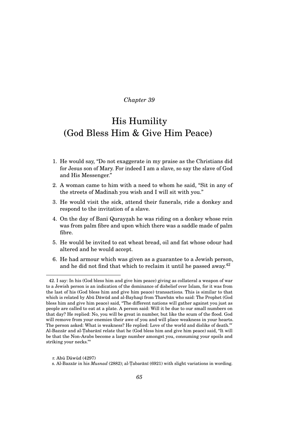### His Humility (God Bless Him & Give Him Peace)

- 1. He would say, "Do not exaggerate in my praise as the Christians did for Jesus son of Mary. For indeed I am a slave, so say the slave of God and His Messenger."
- 2. A woman came to him with a need to whom he said, "Sit in any of the streets of Madinah you wish and I will sit with you."
- 3. He would visit the sick, attend their funerals, ride a donkey and respond to the invitation of a slave.
- 4. On the day of Banī Qurayzah he was riding on a donkey whose rein was from palm fibre and upon which there was a saddle made of palm fibre.
- 5. He would be invited to eat wheat bread, oil and fat whose odour had altered and he would accept.
- 6. He had armour which was given as a guarantee to a Jewish person, and he did not find that which to reclaim it until he passed away.<sup>42</sup>

r. Abū Dāwūd (4297)

<sup>42.</sup> I say: In his (God bless him and give him peace) giving as collateral a weapon of war to a Jewish person is an indication of the dominance of disbelief over Islam, for it was from the last of his (God bless him and give him peace) transactions. This is similar to that which is related by Abū Dāwūd and al-Bayhaqī from Thawbān who said: The Prophet (God bless him and give him peace) said, "The different nations will gather against you just as people are called to eat at a plate. A person said: Will it be due to our small numbers on that day? He replied: No, you will be great in number, but like the scum of the flood. God will remove from your enemies their awe of you and will place weakness in your hearts. The person asked: What is weakness? He replied: Love of the world and dislike of death."<sup>r</sup> Al-Bazzār and al-Tabarānī relate that he (God bless him and give him peace) said, "It will be that the Non-Arabs become a large number amongst you, consuming your spoils and striking your necks."<sup>s</sup>

s. Al-Bazzār in his *Musnad* (2882); al-Tabarānī (6921) with slight variations in wording.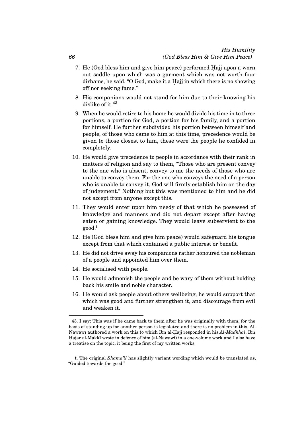#### *His Humility (God Bless Him & Give Him Peace)*

- 7. He (God bless him and give him peace) performed Hajj upon a worn out saddle upon which was a garment which was not worth four dirhams, he said, "O God, make it a Hajj in which there is no showing off nor seeking fame."
- 8. His companions would not stand for him due to their knowing his dislike of it.  $43$
- 9. When he would retire to his home he would divide his time in to three portions, a portion for God, a portion for his family, and a portion for himself. He further subdivided his portion between himself and people, of those who came to him at this time, precedence would be given to those closest to him, these were the people he confided in completely.
- 10. He would give precedence to people in accordance with their rank in matters of religion and say to them, "Those who are present convey to the one who is absent, convey to me the needs of those who are unable to convey them. For the one who conveys the need of a person who is unable to convey it, God will firmly establish him on the day of judgement." Nothing but this was mentioned to him and he did not accept from anyone except this.
- 11. They would enter upon him needy of that which he possessed of knowledge and manners and did not depart except after having eaten or gaining knowledge. They would leave subservient to the good.<sup>t</sup>
- 12. He (God bless him and give him peace) would safeguard his tongue except from that which contained a public interest or benefit.
- 13. He did not drive away his companions rather honoured the nobleman of a people and appointed him over them.
- 14. He socialised with people.
- 15. He would admonish the people and be wary of them without holding back his smile and noble character.
- 16. He would ask people about others wellbeing, he would support that which was good and further strengthen it, and discourage from evil and weaken it.

*66*

<sup>43.</sup> I say: This was if he came back to them after he was originally with them, for the basis of standing up for another person is legislated and there is no problem in this. Al-Nawawī authored a work on this to which Ibn al-Hājj responded in his Al-Madkhal. Ibn Hajar al-Makkī wrote in defence of him (al-Nawawī) in a one-volume work and I also have a treatise on the topic, it being the first of my written works.

t. The original *Shama'il* has slightly variant wording which would be translated as, "Guided towards the good."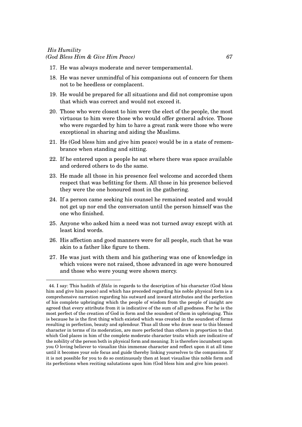### *His Humility (God Bless Him & Give Him Peace) 67*

- 17. He was always moderate and never temperamental.
- 18. He was never unmindful of his companions out of concern for them not to be heedless or complacent.
- 19. He would be prepared for all situations and did not compromise upon that which was correct and would not exceed it.
- 20. Those who were closest to him were the elect of the people, the most virtuous to him were those who would offer general advice. Those who were regarded by him to have a great rank were those who were exceptional in sharing and aiding the Muslims.
- 21. He (God bless him and give him peace) would be in a state of remembrance when standing and sitting.
- 22. If he entered upon a people he sat where there was space available and ordered others to do the same.
- 23. He made all those in his presence feel welcome and accorded them respect that was befitting for them. All those in his presence believed they were the one honoured most in the gathering.
- 24. If a person came seeking his counsel he remained seated and would not get up nor end the conversaton until the person himself was the one who finished.
- 25. Anyone who asked him a need was not turned away except with at least kind words.
- 26. His affection and good manners were for all people, such that he was akin to a father like figure to them.
- 27. He was just with them and his gathering was one of knowledge in which voices were not raised, those advanced in age were honoured and those who were young were shown mercy.

<sup>44.</sup> I say: This hadith of *Hāla* in regards to the description of his character (God bless him and give him peace) and which has preceded regarding his noble physical form is a comprehensive narration regarding his outward and inward attributes and the perfection of his complete upbringing which the people of wisdom from the people of insight are agreed that every attribute from it is indicative of the sum of all goodness. For he is the most perfect of the creation of God in form and the soundest of them in upbringing. This is because he is the first thing which existed which was created in the soundest of forms resulting in perfection, beauty and splendour. Thus all those who draw near to this blessed character in terms of its moderation, are more perfected than others in proportion to that which God places in him of the complete moderate character traits which are indicative of the nobility of the person both in physical form and meaning. It is therefore incumbent upon you O loving believer to visualize this immense character and reflect upon it at all time until it becomes your sole focus and guide thereby linking yourselves to the companions. If it is not possible for you to do so continuously then at least visualise this noble form and its perfections when reciting salutations upon him (God bless him and give him peace).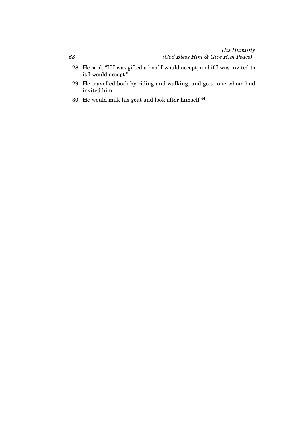- 28. He said, "If I was gifted a hoof I would accept, and if I was invited to it I would accept."
- 29. He travelled both by riding and walking, and go to one whom had invited him.
- 30. He would milk his goat and look after himself. $44$

*68*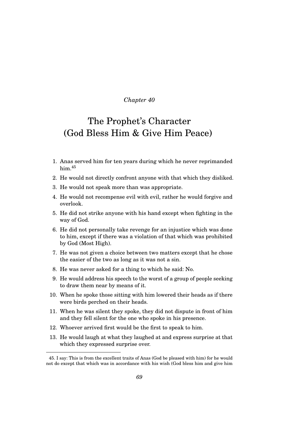### The Prophet's Character (God Bless Him & Give Him Peace)

- 1. Anas served him for ten years during which he never reprimanded him.<sup>45</sup>
- 2. He would not directly confront anyone with that which they disliked.
- 3. He would not speak more than was appropriate.
- 4. He would not recompense evil with evil, rather he would forgive and overlook.
- 5. He did not strike anyone with his hand except when fighting in the way of God.
- 6. He did not personally take revenge for an injustice which was done to him, except if there was a violation of that which was prohibited by God (Most High).
- 7. He was not given a choice between two matters except that he chose the easier of the two as long as it was not a sin.
- 8. He was never asked for a thing to which he said: No.
- 9. He would address his speech to the worst of a group of people seeking to draw them near by means of it.
- 10. When he spoke those sitting with him lowered their heads as if there were birds perched on their heads.
- 11. When he was silent they spoke, they did not dispute in front of him and they fell silent for the one who spoke in his presence.
- 12. Whoever arrived first would be the first to speak to him.
- 13. He would laugh at what they laughed at and express surprise at that which they expressed surprise over.

<sup>45.</sup> I say: This is from the excellent traits of Anas (God be pleased with him) for he would not do except that which was in accordance with his wish (God bless him and give him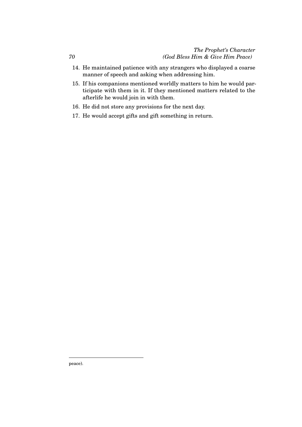#### *The Prophet's Character (God Bless Him & Give Him Peace)*

- 14. He maintained patience with any strangers who displayed a coarse manner of speech and asking when addressing him.
- 15. If his companions mentioned worldly matters to him he would participate with them in it. If they mentioned matters related to the afterlife he would join in with them.
- 16. He did not store any provisions for the next day.
- 17. He would accept gifts and gift something in return.

peace).

*70*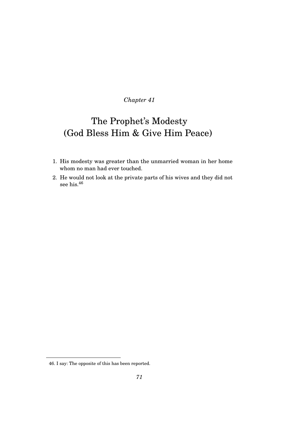# The Prophet's Modesty (God Bless Him & Give Him Peace)

- 1. His modesty was greater than the unmarried woman in her home whom no man had ever touched.
- 2. He would not look at the private parts of his wives and they did not see his.<sup>46</sup>

<sup>46.</sup> I say: The opposite of this has been reported.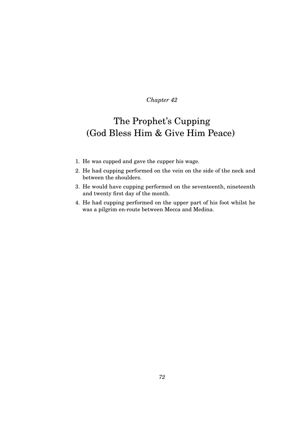## The Prophet's Cupping (God Bless Him & Give Him Peace)

- 1. He was cupped and gave the cupper his wage.
- 2. He had cupping performed on the vein on the side of the neck and between the shoulders.
- 3. He would have cupping performed on the seventeenth, nineteenth and twenty first day of the month.
- 4. He had cupping performed on the upper part of his foot whilst he was a pilgrim en-route between Mecca and Medina.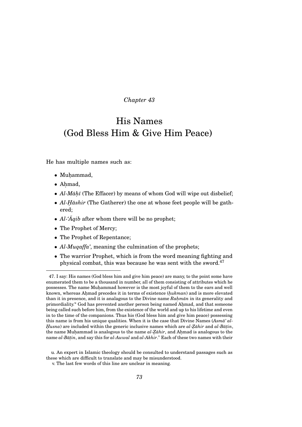### His Names (God Bless Him & Give Him Peace)

He has multiple names such as:

- $\bullet$  Muhammad,
- Ahmad,
- *Al-Māḥī* (The Effacer) by means of whom God will wipe out disbelief;
- *Al-Hāshir* (The Gatherer) the one at whose feet people will be gathered;
- $Al·Aqib$  after whom there will be no prophet;
- The Prophet of Mercy;
- The Prophet of Repentance;
- *Al-Muqaffa'*, meaning the culmination of the prophets;
- The warrior Prophet, which is from the word meaning fighting and physical combat, this was because he was sent with the sword. $47$

<sup>47.</sup> I say: His names (God bless him and give him peace) are many, to the point some have enumerated them to be a thousand in number, all of them consisting of attributes which he possesses. The name Muhammad however is the most joyful of them to the ears and well known, whereas Ahmad precedes it in terms of existence (*hukman*) and is more elevated than it in presence, and it is analagous to the Divine name *Rahmān* in its generality and primordiality.<sup>u</sup> God has prevented another person being named Ahmad, and that someone being called such before him, from the existence of the world and up to his lifetime and even in to the time of the companions. Thus his (God bless him and give him peace) possessing this name is from his unique qualities. When it is the case that Divine Names (Asma<sup>' al-</sup>  $H$ *usna*) are included within the generic inclusive names which are  $al$ -Z̄ahir and  $al$ -B $\bar{a}$ t $in$ , the name Muhammad is analogous to the name  $al$ - $\bar{Z}\bar{a}hir$ , and Ahmad is analogous to the name *al-Bāṭin*, and say this for *al-Awwal* and *al-Akhir*.<sup>v</sup> Each of these two names with their

u. An expert in Islamic theology should be consulted to understand passages such as these which are difficult to translate and may be misunderstood.

v. The last few words of this line are unclear in meaning.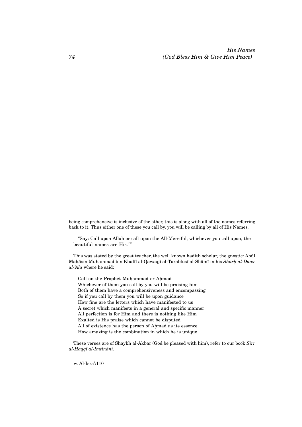*His Names (God Bless Him & Give Him Peace)*

This was stated by the great teacher, the well known hadith scholar, the gnostic: Abul¯ Mahāsin Muhammad bin Khalīl al-Qawaqjī al-Tarablusī al-Shāmī in his *Sharh al-Dawr al-'Ala* where he said:

Call on the Prophet Muhammad or Ahmad Whichever of them you call by you will be praising him Both of them have a comprehensiveness and encompassing So if you call by them you will be upon guidance How fine are the letters which have manifested to us A secret which manifests in a general and specific manner All perfection is for Him and there is nothing like Him Exalted is His praise which cannot be disputed All of existence has the person of Ahmad as its essence How amazing is the combination in which he is unique

These verses are of Shaykh al-Akbar (God be pleased with him), refer to our book *Sirr al-Haqq¯ı al-Imtin ¯an¯ı*.

w. Al-Isra':110

being comprehensive is inclusive of the other, this is along with all of the names referring back to it. Thus either one of these you call by, you will be calling by all of His Names.

<sup>&</sup>quot;Say: Call upon Allah or call upon the All-Merciful, whichever you call upon, the beautiful names are His."<sup>w</sup>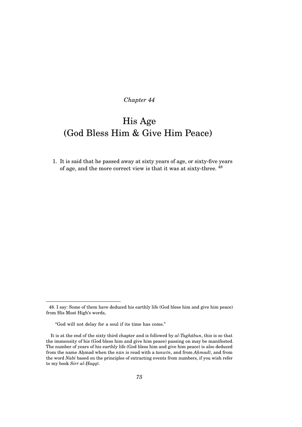# His Age (God Bless Him & Give Him Peace)

1. It is said that he passed away at sixty years of age, or sixty-five years of age, and the more correct view is that it was at sixty-three. <sup>48</sup>

<sup>48.</sup> I say: Some of them have deduced his earthly life (God bless him and give him peace) from His Most High's words,

<sup>&</sup>quot;God will not delay for a soul if its time has come."

It is at the end of the sixty third chapter and is followed by  $al$ -Taghabun, this is so that the immensity of his (God bless him and give him peace) passing on may be manifested. The number of years of his earthly life (God bless him and give him peace) is also deduced from the name Ahmad when the  $n\bar{u}n$  is read with a  $tanw\bar{u}$ , and from  $Ahmad\bar{u}$ , and from the word *Nab¯ı* based on the principles of extracting events from numbers, if you wish refer to my book *Sirr al-Haqqī*.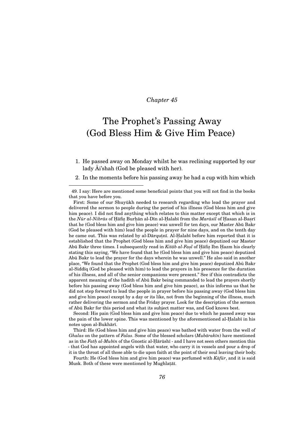### The Prophet's Passing Away (God Bless Him & Give Him Peace)

1. He passed away on Monday whilst he was reclining supported by our lady Ai'shah (God be pleased with her).

2. In the moments before his passing away he had a cup with him which

49. I say: Here are mentioned some beneficial points that you will not find in the books that you have before you.

First: Some of our Shuyūkh needed to research regarding who lead the prayer and delivered the sermon to people during the period of his illness (God bless him and give him peace). I did not find anything which relates to this matter except that which is in the *Nūr al-Nibrās* of Ḥāfiẓ Burḥān al-Dīn al-Ḥalabī from the *Marāsīl* of Ḥasan al-Baṣrī that he (God bless him and give him peace) was unwell for ten days, our Master Abū Bakr (God be pleased with him) lead the people in prayer for nine days, and on the tenth day he came out. This was related by al-Dārqutnī. Al-Halabī before him reported that it is established that the Prophet (God bless him and give him peace) deputized our Master Abū Bakr three times. I subsequently read in *Kitāb al-Fasl* of Hāfiz Ibn Hazm his clearly stating this saying, "We have found that he (God bless him and give him peace) deputized Abū Bakr to lead the prayer for the days wherein he was unwell." He also said in another place, "We found that the Prophet (God bless him and give him peace) deputized Abu Bakr ¯ al-Siddīq (God be pleased with him) to lead the prayers in his presence for the duration of his illness, and all of the senior companions were present." See if this contradicts the apparent meaning of the hadith of Abū Bakr being commanded to lead the prayers shortly before his passing away (God bless him and give him peace), as this informs us that he did not step forward to lead the people in prayer before his passing away (God bless him and give him peace) except by a day or its like, not from the beginning of the illness, much rather delivering the sermon and the Friday prayer. Look for the description of the sermon of Abu Bakr for this period and what its subject matter was, and God knows best. ¯

Second: His pain (God bless him and give him peace) due to which he passed away was the pain of the lower spine. This was mentioned by the aforementioned al-Halabī in his notes upon al-Bukhārī.

Third: He (God bless him and give him peace) was bathed with water from the well of *Ghalas* on the pattern of *Falas*. Some of the blessed scholars (*Mubārakīn*) have mentioned as in the *Fath.al-Mubīn* of the Gnostic al-Hārūshī - and I have not seen others mention this - that God has appointed angels with that water, who carry it in vessels and pour a drop of it in the throat of all those able to die upon faith at the point of their soul leaving their body.

Fourth: He (God bless him and give him peace) was perfumed with *Kafūr*, and it is said Musk. Both of these were mentioned by Mughlatāī.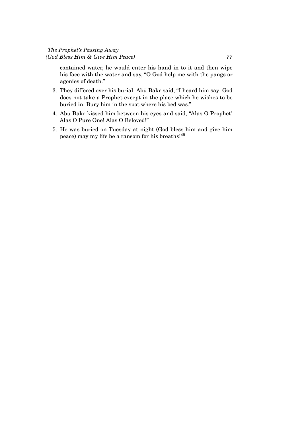contained water, he would enter his hand in to it and then wipe his face with the water and say, "O God help me with the pangs or agonies of death."

- 3. They differed over his burial, Abu Bakr said, "I heard him say: God ¯ does not take a Prophet except in the place which he wishes to be buried in. Bury him in the spot where his bed was."
- 4. Abū Bakr kissed him between his eyes and said, "Alas O Prophet! Alas O Pure One! Alas O Beloved!"
- 5. He was buried on Tuesday at night (God bless him and give him peace) may my life be a ransom for his breaths!<sup>49</sup>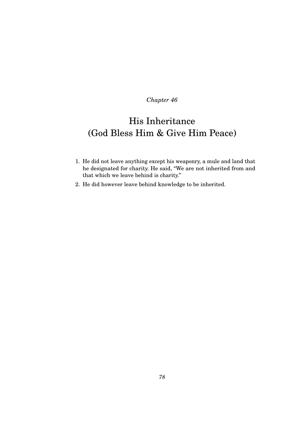# His Inheritance (God Bless Him & Give Him Peace)

- 1. He did not leave anything except his weaponry, a mule and land that he designated for charity. He said, "We are not inherited from and that which we leave behind is charity."
- 2. He did however leave behind knowledge to be inherited.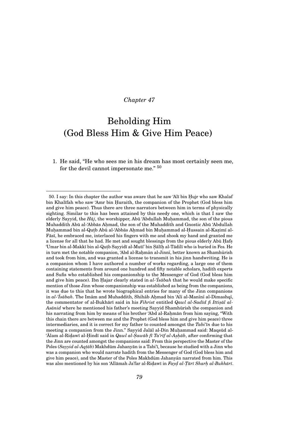## Beholding Him (God Bless Him & Give Him Peace)

1. He said, "He who sees me in his dream has most certainly seen me, for the devil cannot impersonate me." <sup>50</sup>

<sup>50.</sup> I say: In this chapter the author was aware that he saw 'Alī bin Hujr who saw Khalaf bin Khalīfah who saw 'Amr bin Huraith, the companion of the Prophet (God bless him and give him peace). Thus there are three narrators between him in terms of physically sighting. Similar to this has been attained by this needy one, which is that I saw the elderly Sayyid, the *Haj*, the worshipper, Abū 'Abdullah Muhammad, the son of the pious Muhaddith Abū al-'Abbās Ahmad, the son of the Muhaddith and Gnostic Abū 'Abdullah Muḥammad bin al-Quṭb Abū al-'Abbās Aḥmad bin Muḥammad al-Ḥussain al-Kaẓimī al-Fāsī, he embraced me, interlaced his fingers with me and shook my hand and granted me a license for all that he had. He met and sought blessings from the pious elderly Abū Hafs. 'Umar bin al-Makkī bin al-Qutb Sayyidī al-Mutī' bin Sālīh al-Tādilī who is buried in Fes. He in turn met the notable companion, 'Abd al-Rahman al-Jinni, better known as Shamhurish and took from him, and was granted a license to transmit in his jinn handwriting. He is a companion whom I have authored a number of works regarding, a large one of them containing statements from around one hundred and fifty notable scholars, hadith experts and Sufis who established his companionship to the Messenger of God (God bless him and give him peace). Ibn Hajar clearly stated in  $al$ -*Tsābah* that he would make specific mention of those Jinn whose companionship was established as being from the companions, it was due to this that he wrote biographical entries for many of the Jinn companions in al-'Īsābah. The Imām and Muhaddith, Shihāb Ahmad bin 'Alī al-Manīnī al-Dimashqī, the commentator of al-Bukhārī said in his *Fihrist* entitled *Qawl al-Sadīd fi Ittișāl al-*Asanid where he mentioned his father's meeting Sayyid Shamhurish the companion and his narrating from him by means of his brother 'Abd al-Rahmān from him saying, "With this chain there are between me and the Prophet (God bless him and give him peace) three intermediaries, and it is correct for my father to counted amongst the Tabi'<sup>T</sup>n due to his meeting a companion from the Jinn." Sayyid Jalāl al-Din Muhammad said: Maqsūd al- $^4$ Alam al-Ridawī al-Ḥindī said in *Qawl al-Ṣawāb fī Ta'rīf al-Aṣḥāb*, after confirming that the Jinn are counted amongst the companions said: From this perspective the Master of the Poles (*Sayyid al-Aqṭāb*) Makhdūm Jahanyān is a Tabi'ī, because he studied with a Jinn who was a companion who would narrate hadith from the Messenger of God (God bless him and give him peace), and the Master of the Poles Makhdūm Jahanyān narrated from him. This was also mentioned by his son 'Allāmah Ja'far al-Riḍawī in *Fayḍ al-Ṭārī Sharḥ al-Bukhārī*.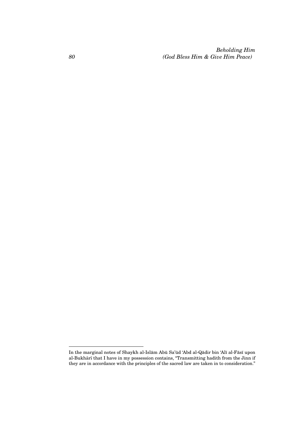*Beholding Him (God Bless Him & Give Him Peace)*

In the marginal notes of Shaykh al-Islām Abū Sa'ūd 'Abd al-Qādir bin 'Alī al-Fāsī upon al-Bukhārī that I have in my possession contains, "Transmitting hadith from the Jinn if they are in accordance with the principles of the sacred law are taken in to consideration."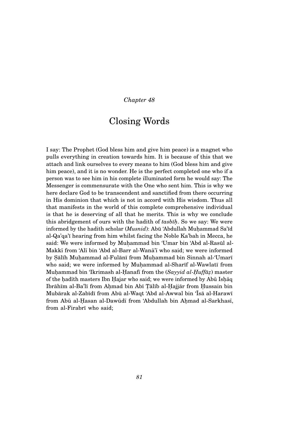### Closing Words

I say: The Prophet (God bless him and give him peace) is a magnet who pulls everything in creation towards him. It is because of this that we attach and link ourselves to every means to him (God bless him and give him peace), and it is no wonder. He is the perfect completed one who if a person was to see him in his complete illuminated form he would say: The Messenger is commensurate with the One who sent him. This is why we here declare God to be transcendent and sanctified from there occurring in His dominion that which is not in accord with His wisdom. Thus all that manifests in the world of this complete comprehensive individual is that he is deserving of all that he merits. This is why we conclude this abridgement of ours with the hadith of *tasbīḥ*. So we say: We were informed by the hadith scholar (*Musnid*): Abū 'Abdullah Muhammad Sa'īd al-Qa'qa'ī hearing from him whilst facing the Noble Ka'bah in Mecca, he said: We were informed by Muhammad bin 'Umar bin 'Abd al-Rasūl al-Makkī from 'Alī bin 'Abd al-Barr al-Wanā'ī who said; we were informed by Sālīh Muhammad al-Fulānī from Muhammad bin Sinnah al-'Umarī who said; we were informed by Muhammad al-Sharīf al-Wawlatī from Muḥammad bin 'Ikrimash al-Ḥanafī from the (*Sayyid al-Ḥuffāẓ*) master of the hadīth masters Ibn Hajar who said; we were informed by Abū Ishāq Ibrāhīm al-Ba'lī from Ahmad bin Abī Tālīb al-Hajjār from Hussain bin Mubārak al-Zabīdī from Abū al-Waqt 'Abd al-Awwal bin 'Īsā al-Harawī from Abū al-Hasan al-Dawūdī from 'Abdullah bin Ahmad al-Sarkhasī, from al-Firabrī who said;